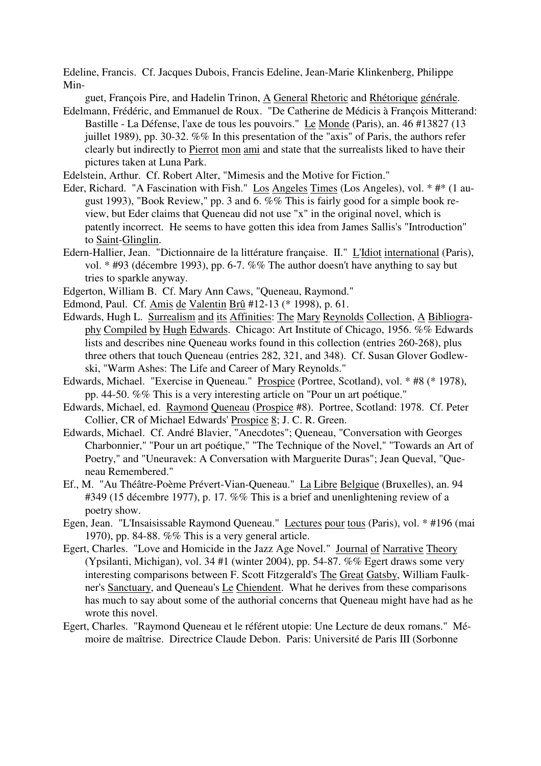Edeline, Francis. Cf. Jacques Dubois, Francis Edeline, Jean-Marie Klinkenberg, Philippe Min-

guet, François Pire, and Hadelin Trinon, A General Rhetoric and Rhétorique générale.

- Edelmann, Frédéric, and Emmanuel de Roux. "De Catherine de Médicis à François Mitterand: Bastille - La Défense, l'axe de tous les pouvoirs." Le Monde (Paris), an. 46 #13827 (13 juillet 1989), pp. 30-32. %% In this presentation of the "axis" of Paris, the authors refer clearly but indirectly to Pierrot mon ami and state that the surrealists liked to have their pictures taken at Luna Park.
- Edelstein, Arthur. Cf. Robert Alter, "Mimesis and the Motive for Fiction."
- Eder, Richard. "A Fascination with Fish." Los Angeles Times (Los Angeles), vol. \* #\* (1 august 1993), "Book Review," pp. 3 and 6. %% This is fairly good for a simple book review, but Eder claims that Queneau did not use "x" in the original novel, which is patently incorrect. He seems to have gotten this idea from James Sallis's "Introduction" to Saint-Glinglin.
- Edern-Hallier, Jean. "Dictionnaire de la littérature française. II." L'Idiot international (Paris), vol. \* #93 (décembre 1993), pp. 6-7. %% The author doesn't have anything to say but tries to sparkle anyway.
- Edgerton, William B. Cf. Mary Ann Caws, "Queneau, Raymond."
- Edmond, Paul. Cf. Amis de Valentin Brû #12-13 (\* 1998), p. 61.
- Edwards, Hugh L. Surrealism and its Affinities: The Mary Reynolds Collection, A Bibliography Compiled by Hugh Edwards. Chicago: Art Institute of Chicago, 1956. %% Edwards lists and describes nine Queneau works found in this collection (entries 260-268), plus three others that touch Queneau (entries 282, 321, and 348). Cf. Susan Glover Godlewski, "Warm Ashes: The Life and Career of Mary Reynolds."
- Edwards, Michael. "Exercise in Queneau." Prospice (Portree, Scotland), vol. \* #8 (\* 1978), pp. 44-50. %% This is a very interesting article on "Pour un art poétique."
- Edwards, Michael, ed. Raymond Queneau (Prospice #8). Portree, Scotland: 1978. Cf. Peter Collier, CR of Michael Edwards' Prospice 8; J. C. R. Green.
- Edwards, Michael. Cf. André Blavier, "Anecdotes"; Queneau, "Conversation with Georges Charbonnier," "Pour un art poétique," "The Technique of the Novel," "Towards an Art of Poetry," and "Uneuravek: A Conversation with Marguerite Duras"; Jean Queval, "Queneau Remembered."
- Ef., M. "Au Théâtre-Poème Prévert-Vian-Queneau." La Libre Belgique (Bruxelles), an. 94 #349 (15 décembre 1977), p. 17. %% This is a brief and unenlightening review of a poetry show.
- Egen, Jean. "L'Insaisissable Raymond Queneau." Lectures pour tous (Paris), vol. \* #196 (mai 1970), pp. 84-88.  $\%$ % This is a very general article.
- Egert, Charles. "Love and Homicide in the Jazz Age Novel." Journal of Narrative Theory (Ypsilanti, Michigan), vol. 34 #1 (winter 2004), pp. 54-87. %% Egert draws some very interesting comparisons between F. Scott Fitzgerald's The Great Gatsby, William Faulkner's Sanctuary, and Queneau's Le Chiendent. What he derives from these comparisons has much to say about some of the authorial concerns that Queneau might have had as he wrote this novel.
- Egert, Charles. "Raymond Queneau et le référent utopie: Une Lecture de deux romans." Mémoire de maîtrise. Directrice Claude Debon. Paris: Université de Paris III (Sorbonne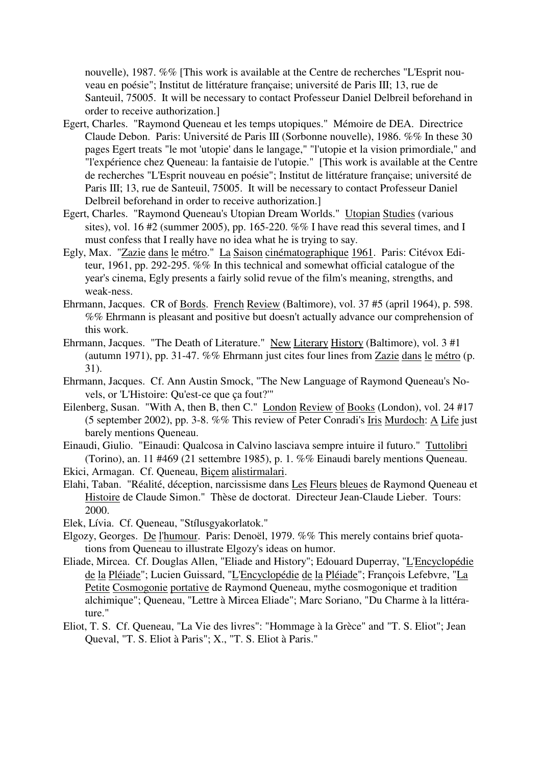nouvelle), 1987. %% [This work is available at the Centre de recherches "L'Esprit nouveau en poésie"; Institut de littérature française; université de Paris III; 13, rue de Santeuil, 75005. It will be necessary to contact Professeur Daniel Delbreil beforehand in order to receive authorization.]

- Egert, Charles. "Raymond Queneau et les temps utopiques." Mémoire de DEA. Directrice Claude Debon. Paris: Université de Paris III (Sorbonne nouvelle), 1986. %% In these 30 pages Egert treats "le mot 'utopie' dans le langage," "l'utopie et la vision primordiale," and "l'expérience chez Queneau: la fantaisie de l'utopie." [This work is available at the Centre de recherches "L'Esprit nouveau en poésie"; Institut de littérature française; université de Paris III; 13, rue de Santeuil, 75005. It will be necessary to contact Professeur Daniel Delbreil beforehand in order to receive authorization.]
- Egert, Charles. "Raymond Queneau's Utopian Dream Worlds." Utopian Studies (various sites), vol. 16  $#2$  (summer 2005), pp. 165-220. %% I have read this several times, and I must confess that I really have no idea what he is trying to say.
- Egly, Max. "Zazie dans le métro." La Saison cinématographique 1961. Paris: Citévox Editeur, 1961, pp. 292-295. %% In this technical and somewhat official catalogue of the year's cinema, Egly presents a fairly solid revue of the film's meaning, strengths, and weak-ness.
- Ehrmann, Jacques. CR of Bords. French Review (Baltimore), vol. 37 #5 (april 1964), p. 598. %% Ehrmann is pleasant and positive but doesn't actually advance our comprehension of this work.
- Ehrmann, Jacques. "The Death of Literature." New Literary History (Baltimore), vol. 3 #1 (autumn 1971), pp. 31-47. %% Ehrmann just cites four lines from Zazie dans le métro (p. 31).
- Ehrmann, Jacques. Cf. Ann Austin Smock, "The New Language of Raymond Queneau's Novels, or 'L'Histoire: Qu'est-ce que ça fout?'"
- Eilenberg, Susan. "With A, then B, then C." London Review of Books (London), vol. 24 #17 (5 september 2002), pp. 3-8. %% This review of Peter Conradi's Iris Murdoch: A Life just barely mentions Queneau.
- Einaudi, Giulio. "Einaudi: Qualcosa in Calvino lasciava sempre intuire il futuro." Tuttolibri (Torino), an. 11 #469 (21 settembre 1985), p. 1. %% Einaudi barely mentions Queneau.
- Ekici, Armagan. Cf. Queneau, Biçem alistirmalari.
- Elahi, Taban. "Réalité, déception, narcissisme dans Les Fleurs bleues de Raymond Queneau et Histoire de Claude Simon." Thèse de doctorat. Directeur Jean-Claude Lieber. Tours: 2000.
- Elek, Lívia. Cf. Queneau, "Stílusgyakorlatok."
- Elgozy, Georges. De l'humour. Paris: Denoël, 1979. %% This merely contains brief quotations from Queneau to illustrate Elgozy's ideas on humor.
- Eliade, Mircea. Cf. Douglas Allen, "Eliade and History"; Edouard Duperray, "L'Encyclopédie de la Pléiade"; Lucien Guissard, "L'Encyclopédie de la Pléiade"; François Lefebvre, "La Petite Cosmogonie portative de Raymond Queneau, mythe cosmogonique et tradition alchimique"; Queneau, "Lettre à Mircea Eliade"; Marc Soriano, "Du Charme à la littérature."
- Eliot, T. S. Cf. Queneau, "La Vie des livres": "Hommage à la Grèce" and "T. S. Eliot"; Jean Queval, "T. S. Eliot à Paris"; X., "T. S. Eliot à Paris."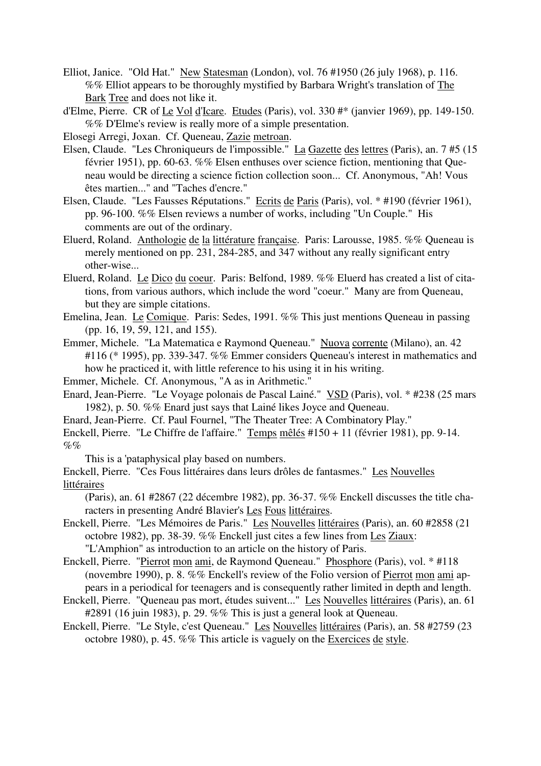Elliot, Janice. "Old Hat." New Statesman (London), vol. 76 #1950 (26 july 1968), p. 116. %% Elliot appears to be thoroughly mystified by Barbara Wright's translation of The Bark Tree and does not like it.

d'Elme, Pierre. CR of Le Vol d'Icare. Etudes (Paris), vol. 330 #\* (janvier 1969), pp. 149-150. %% D'Elme's review is really more of a simple presentation.

Elosegi Arregi, Joxan. Cf. Queneau, Zazie metroan.

- Elsen, Claude. "Les Chroniqueurs de l'impossible." La Gazette des lettres (Paris), an. 7 #5 (15 février 1951), pp. 60-63. %% Elsen enthuses over science fiction, mentioning that Queneau would be directing a science fiction collection soon... Cf. Anonymous, "Ah! Vous êtes martien..." and "Taches d'encre."
- Elsen, Claude. "Les Fausses Réputations." Ecrits de Paris (Paris), vol. \* #190 (février 1961), pp. 96-100. %% Elsen reviews a number of works, including "Un Couple." His comments are out of the ordinary.
- Eluerd, Roland. Anthologie de la littérature française. Paris: Larousse, 1985. %% Queneau is merely mentioned on pp. 231, 284-285, and 347 without any really significant entry other-wise...
- Eluerd, Roland. Le Dico du coeur. Paris: Belfond, 1989. %% Eluerd has created a list of citations, from various authors, which include the word "coeur." Many are from Queneau, but they are simple citations.
- Emelina, Jean. Le Comique. Paris: Sedes, 1991. %% This just mentions Queneau in passing (pp. 16, 19, 59, 121, and 155).
- Emmer, Michele. "La Matematica e Raymond Queneau." Nuova corrente (Milano), an. 42 #116 (\* 1995), pp. 339-347. %% Emmer considers Queneau's interest in mathematics and how he practiced it, with little reference to his using it in his writing.

Emmer, Michele. Cf. Anonymous, "A as in Arithmetic."

- Enard, Jean-Pierre. "Le Voyage polonais de Pascal Lainé." VSD (Paris), vol. \* #238 (25 mars 1982), p. 50. %% Enard just says that Lainé likes Joyce and Queneau.
- Enard, Jean-Pierre. Cf. Paul Fournel, "The Theater Tree: A Combinatory Play."
- Enckell, Pierre. "Le Chiffre de l'affaire." Temps mêlés #150 + 11 (février 1981), pp. 9-14.  $\%$ %

This is a 'pataphysical play based on numbers.

Enckell, Pierre. "Ces Fous littéraires dans leurs drôles de fantasmes." Les Nouvelles littéraires

(Paris), an. 61 #2867 (22 décembre 1982), pp. 36-37. %% Enckell discusses the title characters in presenting André Blavier's Les Fous littéraires.

Enckell, Pierre. "Les Mémoires de Paris." Les Nouvelles littéraires (Paris), an. 60 #2858 (21 octobre 1982), pp. 38-39. %% Enckell just cites a few lines from Les Ziaux: "L'Amphion" as introduction to an article on the history of Paris.

Enckell, Pierre. "Pierrot mon ami, de Raymond Queneau." Phosphore (Paris), vol. \* #118

(novembre 1990), p. 8. %% Enckell's review of the Folio version of Pierrot mon ami appears in a periodical for teenagers and is consequently rather limited in depth and length.

Enckell, Pierre. "Queneau pas mort, études suivent..." Les Nouvelles littéraires (Paris), an. 61 #2891 (16 juin 1983), p. 29. %% This is just a general look at Queneau.

Enckell, Pierre. "Le Style, c'est Queneau." Les Nouvelles littéraires (Paris), an. 58 #2759 (23 octobre 1980), p. 45. %% This article is vaguely on the Exercices de style.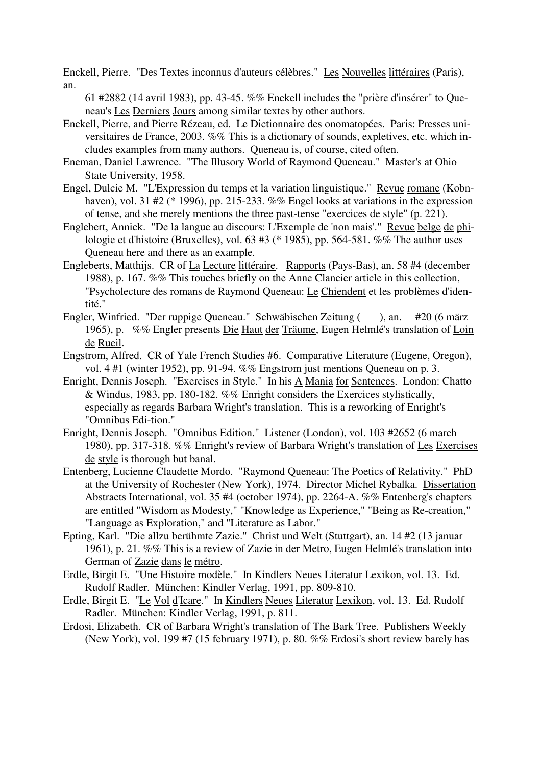Enckell, Pierre. "Des Textes inconnus d'auteurs célèbres." Les Nouvelles littéraires (Paris), an.

61 #2882 (14 avril 1983), pp. 43-45. %% Enckell includes the "prière d'insérer" to Queneau's Les Derniers Jours among similar textes by other authors.

- Enckell, Pierre, and Pierre Rézeau, ed. Le Dictionnaire des onomatopées. Paris: Presses universitaires de France, 2003. %% This is a dictionary of sounds, expletives, etc. which includes examples from many authors. Queneau is, of course, cited often.
- Eneman, Daniel Lawrence. "The Illusory World of Raymond Queneau." Master's at Ohio State University, 1958.
- Engel, Dulcie M. "L'Expression du temps et la variation linguistique." Revue romane (Kobnhaven), vol. 31 #2 (\* 1996), pp. 215-233. %% Engel looks at variations in the expression of tense, and she merely mentions the three past-tense "exercices de style" (p. 221).
- Englebert, Annick. "De la langue au discours: L'Exemple de 'non mais'." Revue belge de philologie et d'histoire (Bruxelles), vol. 63 #3 (\* 1985), pp. 564-581. %% The author uses Queneau here and there as an example.
- Engleberts, Matthijs. CR of La Lecture littéraire. Rapports (Pays-Bas), an. 58 #4 (december 1988), p. 167. %% This touches briefly on the Anne Clancier article in this collection, "Psycholecture des romans de Raymond Queneau: Le Chiendent et les problèmes d'identité."
- Engler, Winfried. "Der ruppige Queneau." Schwäbischen Zeitung (), an. #20 (6 märz 1965), p. %% Engler presents Die Haut der Träume, Eugen Helmlé's translation of Loin de Rueil.
- Engstrom, Alfred. CR of Yale French Studies #6. Comparative Literature (Eugene, Oregon), vol. 4 #1 (winter 1952), pp. 91-94. %% Engstrom just mentions Queneau on p. 3.
- Enright, Dennis Joseph. "Exercises in Style." In his A Mania for Sentences. London: Chatto & Windus, 1983, pp. 180-182. %% Enright considers the Exercices stylistically, especially as regards Barbara Wright's translation. This is a reworking of Enright's "Omnibus Edi-tion."
- Enright, Dennis Joseph. "Omnibus Edition." Listener (London), vol. 103 #2652 (6 march 1980), pp. 317-318. %% Enright's review of Barbara Wright's translation of Les Exercises de style is thorough but banal.
- Entenberg, Lucienne Claudette Mordo. "Raymond Queneau: The Poetics of Relativity." PhD at the University of Rochester (New York), 1974. Director Michel Rybalka. Dissertation Abstracts International, vol. 35 #4 (october 1974), pp. 2264-A. %% Entenberg's chapters are entitled "Wisdom as Modesty," "Knowledge as Experience," "Being as Re-creation," "Language as Exploration," and "Literature as Labor."
- Epting, Karl. "Die allzu berühmte Zazie." Christ und Welt (Stuttgart), an. 14 #2 (13 januar 1961), p. 21. %% This is a review of Zazie in der Metro, Eugen Helmlé's translation into German of Zazie dans le métro.
- Erdle, Birgit E. "Une Histoire modèle." In Kindlers Neues Literatur Lexikon, vol. 13. Ed. Rudolf Radler. München: Kindler Verlag, 1991, pp. 809-810.
- Erdle, Birgit E. "Le Vol d'Icare." In Kindlers Neues Literatur Lexikon, vol. 13. Ed. Rudolf Radler. München: Kindler Verlag, 1991, p. 811.
- Erdosi, Elizabeth. CR of Barbara Wright's translation of The Bark Tree. Publishers Weekly (New York), vol. 199 #7 (15 february 1971), p. 80. %% Erdosi's short review barely has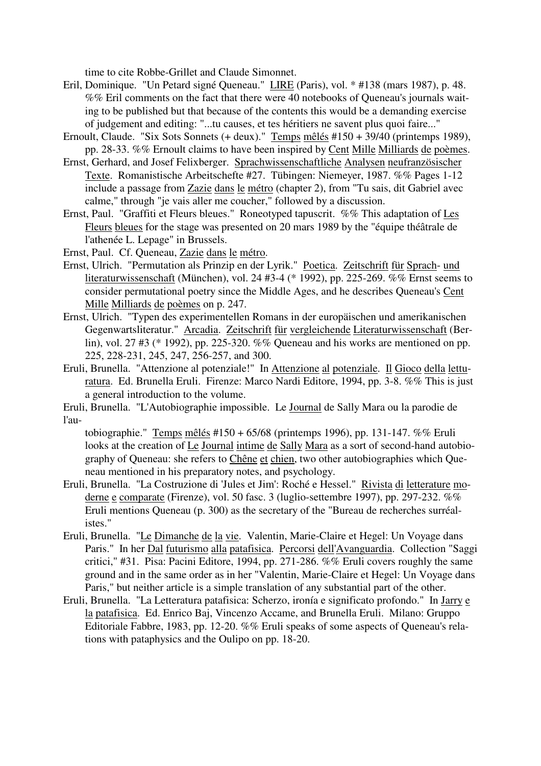time to cite Robbe-Grillet and Claude Simonnet.

- Eril, Dominique. "Un Petard signé Queneau." LIRE (Paris), vol. \* #138 (mars 1987), p. 48. %% Eril comments on the fact that there were 40 notebooks of Queneau's journals waiting to be published but that because of the contents this would be a demanding exercise of judgement and editing: "...tu causes, et tes héritiers ne savent plus quoi faire..."
- Ernoult, Claude. "Six Sots Sonnets (+ deux)." Temps mêlés #150 + 39/40 (printemps 1989), pp. 28-33. %% Ernoult claims to have been inspired by Cent Mille Milliards de poèmes.
- Ernst, Gerhard, and Josef Felixberger. Sprachwissenschaftliche Analysen neufranzösischer Texte. Romanistische Arbeitschefte #27. Tübingen: Niemeyer, 1987. %% Pages 1-12 include a passage from Zazie dans le métro (chapter 2), from "Tu sais, dit Gabriel avec calme," through "je vais aller me coucher," followed by a discussion.
- Ernst, Paul. "Graffiti et Fleurs bleues." Roneotyped tapuscrit. %% This adaptation of Les Fleurs bleues for the stage was presented on 20 mars 1989 by the "équipe théâtrale de l'athenée L. Lepage" in Brussels.

Ernst, Paul. Cf. Queneau, Zazie dans le métro.

- Ernst, Ulrich. "Permutation als Prinzip en der Lyrik." Poetica. Zeitschrift für Sprach- und literaturwissenschaft (München), vol. 24 #3-4 (\* 1992), pp. 225-269. %% Ernst seems to consider permutational poetry since the Middle Ages, and he describes Queneau's Cent Mille Milliards de poèmes on p. 247.
- Ernst, Ulrich. "Typen des experimentellen Romans in der europäischen und amerikanischen Gegenwartsliteratur." Arcadia. Zeitschrift für vergleichende Literaturwissenschaft (Berlin), vol. 27 #3 (\* 1992), pp. 225-320. %% Queneau and his works are mentioned on pp. 225, 228-231, 245, 247, 256-257, and 300.
- Eruli, Brunella. "Attenzione al potenziale!" In Attenzione al potenziale. Il Gioco della letturatura. Ed. Brunella Eruli. Firenze: Marco Nardi Editore, 1994, pp. 3-8. %% This is just a general introduction to the volume.

Eruli, Brunella. "L'Autobiographie impossible. Le Journal de Sally Mara ou la parodie de l'au-

tobiographie." Temps mêlés #150 + 65/68 (printemps 1996), pp. 131-147. %% Eruli looks at the creation of Le Journal intime de Sally Mara as a sort of second-hand autobiography of Queneau: she refers to Chêne et chien, two other autobiographies which Queneau mentioned in his preparatory notes, and psychology.

- Eruli, Brunella. "La Costruzione di 'Jules et Jim': Roché e Hessel." Rivista di letterature moderne e comparate (Firenze), vol. 50 fasc. 3 (luglio-settembre 1997), pp. 297-232. %% Eruli mentions Queneau (p. 300) as the secretary of the "Bureau de recherches surréalistes."
- Eruli, Brunella. "Le Dimanche de la vie. Valentin, Marie-Claire et Hegel: Un Voyage dans Paris." In her Dal futurismo alla patafisica. Percorsi dell'Avanguardia. Collection "Saggi critici," #31. Pisa: Pacini Editore, 1994, pp. 271-286. %% Eruli covers roughly the same ground and in the same order as in her "Valentin, Marie-Claire et Hegel: Un Voyage dans Paris," but neither article is a simple translation of any substantial part of the other.
- Eruli, Brunella. "La Letteratura patafisica: Scherzo, ironía e significato profondo." In Jarry e la patafisica. Ed. Enrico Baj, Vincenzo Accame, and Brunella Eruli. Milano: Gruppo Editoriale Fabbre, 1983, pp. 12-20. %% Eruli speaks of some aspects of Queneau's relations with pataphysics and the Oulipo on pp. 18-20.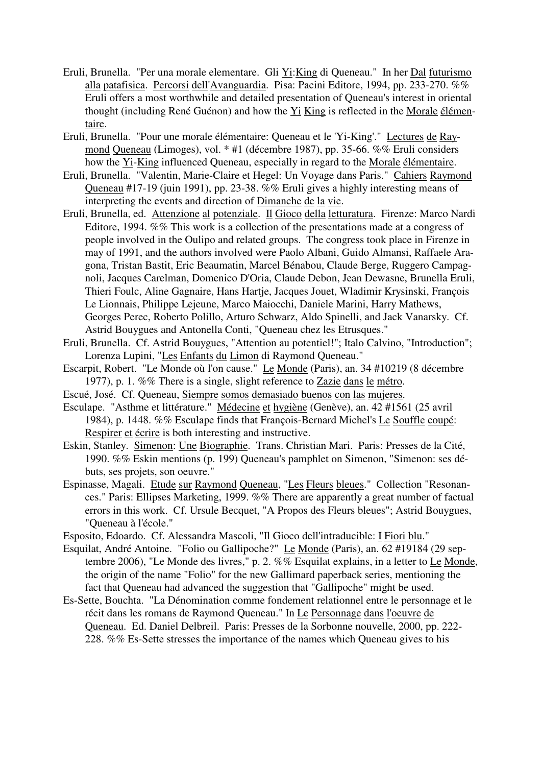- Eruli, Brunella. "Per una morale elementare. Gli Yi:King di Queneau." In her Dal futurismo alla patafisica. Percorsi dell'Avanguardia. Pisa: Pacini Editore, 1994, pp. 233-270. %% Eruli offers a most worthwhile and detailed presentation of Queneau's interest in oriental thought (including René Guénon) and how the Yi King is reflected in the Morale élémentaire.
- Eruli, Brunella. "Pour une morale élémentaire: Queneau et le 'Yi-King'." Lectures de Raymond Queneau (Limoges), vol. \* #1 (décembre 1987), pp. 35-66. %% Eruli considers how the Yi-King influenced Queneau, especially in regard to the Morale élémentaire.
- Eruli, Brunella. "Valentin, Marie-Claire et Hegel: Un Voyage dans Paris." Cahiers Raymond Queneau #17-19 (juin 1991), pp. 23-38. %% Eruli gives a highly interesting means of interpreting the events and direction of Dimanche de la vie.
- Eruli, Brunella, ed. Attenzione al potenziale. Il Gioco della letturatura. Firenze: Marco Nardi Editore, 1994. %% This work is a collection of the presentations made at a congress of people involved in the Oulipo and related groups. The congress took place in Firenze in may of 1991, and the authors involved were Paolo Albani, Guido Almansi, Raffaele Aragona, Tristan Bastit, Eric Beaumatin, Marcel Bénabou, Claude Berge, Ruggero Campagnoli, Jacques Carelman, Domenico D'Oria, Claude Debon, Jean Dewasne, Brunella Eruli, Thieri Foulc, Aline Gagnaire, Hans Hartje, Jacques Jouet, Wladimir Krysinski, François Le Lionnais, Philippe Lejeune, Marco Maiocchi, Daniele Marini, Harry Mathews, Georges Perec, Roberto Polillo, Arturo Schwarz, Aldo Spinelli, and Jack Vanarsky. Cf. Astrid Bouygues and Antonella Conti, "Queneau chez les Etrusques."
- Eruli, Brunella. Cf. Astrid Bouygues, "Attention au potentiel!"; Italo Calvino, "Introduction"; Lorenza Lupini, "Les Enfants du Limon di Raymond Queneau."
- Escarpit, Robert. "Le Monde où l'on cause." Le Monde (Paris), an. 34 #10219 (8 décembre 1977), p. 1. %% There is a single, slight reference to Zazie dans le métro.
- Escué, José. Cf. Queneau, Siempre somos demasiado buenos con las mujeres.
- Esculape. "Asthme et littérature." Médecine et hygiène (Genève), an. 42 #1561 (25 avril 1984), p. 1448. %% Esculape finds that François-Bernard Michel's Le Souffle coupé: Respirer et écrire is both interesting and instructive.
- Eskin, Stanley. Simenon: Une Biographie. Trans. Christian Mari. Paris: Presses de la Cité, 1990. %% Eskin mentions (p. 199) Queneau's pamphlet on Simenon, "Simenon: ses débuts, ses projets, son oeuvre."
- Espinasse, Magali. Etude sur Raymond Queneau, "Les Fleurs bleues." Collection "Resonances." Paris: Ellipses Marketing, 1999. %% There are apparently a great number of factual errors in this work. Cf. Ursule Becquet, "A Propos des Fleurs bleues"; Astrid Bouygues, "Queneau à l'école."
- Esposito, Edoardo. Cf. Alessandra Mascoli, "Il Gioco dell'intraducible: I Fiori blu."
- Esquilat, André Antoine. "Folio ou Gallipoche?" Le Monde (Paris), an. 62 #19184 (29 septembre 2006), "Le Monde des livres," p. 2. %% Esquilat explains, in a letter to Le Monde, the origin of the name "Folio" for the new Gallimard paperback series, mentioning the fact that Queneau had advanced the suggestion that "Gallipoche" might be used.
- Es-Sette, Bouchta. "La Dénomination comme fondement relationnel entre le personnage et le récit dans les romans de Raymond Queneau." In Le Personnage dans l'oeuvre de Queneau. Ed. Daniel Delbreil. Paris: Presses de la Sorbonne nouvelle, 2000, pp. 222- 228. %% Es-Sette stresses the importance of the names which Queneau gives to his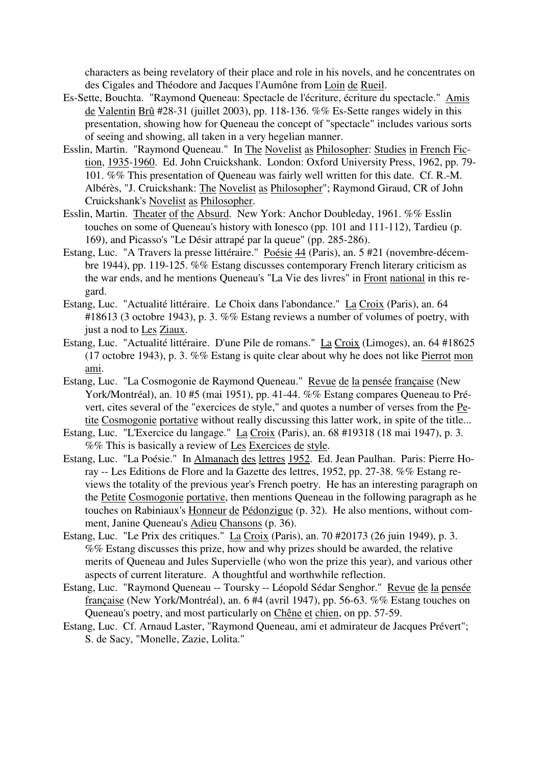characters as being revelatory of their place and role in his novels, and he concentrates on des Cigales and Théodore and Jacques l'Aumône from Loin de Rueil.

- Es-Sette, Bouchta. "Raymond Queneau: Spectacle de l'écriture, écriture du spectacle." Amis de Valentin Brû #28-31 (juillet 2003), pp. 118-136. %% Es-Sette ranges widely in this presentation, showing how for Queneau the concept of "spectacle" includes various sorts of seeing and showing, all taken in a very hegelian manner.
- Esslin, Martin. "Raymond Queneau." In The Novelist as Philosopher: Studies in French Fiction, 1935-1960. Ed. John Cruickshank. London: Oxford University Press, 1962, pp. 79- 101. %% This presentation of Queneau was fairly well written for this date. Cf. R.-M. Albérès, "J. Cruickshank: The Novelist as Philosopher"; Raymond Giraud, CR of John Cruickshank's Novelist as Philosopher.
- Esslin, Martin. Theater of the Absurd. New York: Anchor Doubleday, 1961. %% Esslin touches on some of Queneau's history with Ionesco (pp. 101 and 111-112), Tardieu (p. 169), and Picasso's "Le Désir attrapé par la queue" (pp. 285-286).
- Estang, Luc. "A Travers la presse littéraire." Poésie 44 (Paris), an. 5 #21 (novembre-décembre 1944), pp. 119-125. %% Estang discusses contemporary French literary criticism as the war ends, and he mentions Queneau's "La Vie des livres" in Front national in this regard.
- Estang, Luc. "Actualité littéraire. Le Choix dans l'abondance." La Croix (Paris), an. 64 #18613 (3 octobre 1943), p. 3. %% Estang reviews a number of volumes of poetry, with just a nod to Les Ziaux.
- Estang, Luc. "Actualité littéraire. D'une Pile de romans." La Croix (Limoges), an. 64 #18625 (17 octobre 1943), p. 3. %% Estang is quite clear about why he does not like Pierrot mon ami.
- Estang, Luc. "La Cosmogonie de Raymond Queneau." Revue de la pensée française (New York/Montréal), an. 10 #5 (mai 1951), pp. 41-44. %% Estang compares Queneau to Prévert, cites several of the "exercices de style," and quotes a number of verses from the Petite Cosmogonie portative without really discussing this latter work, in spite of the title...
- Estang, Luc. "L'Exercice du langage." La Croix (Paris), an. 68 #19318 (18 mai 1947), p. 3. %% This is basically a review of Les Exercices de style.
- Estang, Luc. "La Poésie." In Almanach des lettres 1952. Ed. Jean Paulhan. Paris: Pierre Horay -- Les Editions de Flore and la Gazette des lettres, 1952, pp. 27-38. %% Estang reviews the totality of the previous year's French poetry. He has an interesting paragraph on the Petite Cosmogonie portative, then mentions Queneau in the following paragraph as he touches on Rabiniaux's Honneur de Pédonzigue (p. 32). He also mentions, without comment, Janine Queneau's Adieu Chansons (p. 36).
- Estang, Luc. "Le Prix des critiques." La Croix (Paris), an. 70 #20173 (26 juin 1949), p. 3. %% Estang discusses this prize, how and why prizes should be awarded, the relative merits of Queneau and Jules Supervielle (who won the prize this year), and various other aspects of current literature. A thoughtful and worthwhile reflection.
- Estang, Luc. "Raymond Queneau -- Toursky -- Léopold Sédar Senghor." Revue de la pensée française (New York/Montréal), an. 6 #4 (avril 1947), pp. 56-63. %% Estang touches on Queneau's poetry, and most particularly on Chêne et chien, on pp. 57-59.
- Estang, Luc. Cf. Arnaud Laster, "Raymond Queneau, ami et admirateur de Jacques Prévert"; S. de Sacy, "Monelle, Zazie, Lolita."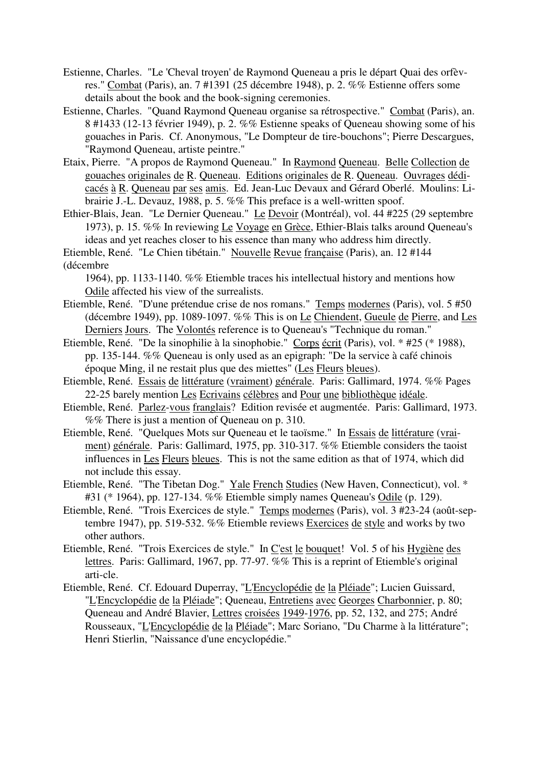- Estienne, Charles. "Le 'Cheval troyen' de Raymond Queneau a pris le départ Quai des orfèvres." Combat (Paris), an. 7 #1391 (25 décembre 1948), p. 2. %% Estienne offers some details about the book and the book-signing ceremonies.
- Estienne, Charles. "Quand Raymond Queneau organise sa rétrospective." Combat (Paris), an. 8 #1433 (12-13 février 1949), p. 2. %% Estienne speaks of Queneau showing some of his gouaches in Paris. Cf. Anonymous, "Le Dompteur de tire-bouchons"; Pierre Descargues, "Raymond Queneau, artiste peintre."
- Etaix, Pierre. "A propos de Raymond Queneau." In Raymond Queneau. Belle Collection de gouaches originales de R. Queneau. Editions originales de R. Queneau. Ouvrages dédicacés à R. Queneau par ses amis. Ed. Jean-Luc Devaux and Gérard Oberlé. Moulins: Librairie J.-L. Devauz, 1988, p. 5. %% This preface is a well-written spoof.
- Ethier-Blais, Jean. "Le Dernier Queneau." Le Devoir (Montréal), vol. 44 #225 (29 septembre 1973), p. 15. %% In reviewing Le Voyage en Grèce, Ethier-Blais talks around Queneau's ideas and yet reaches closer to his essence than many who address him directly. Etiemble, René. "Le Chien tibétain." Nouvelle Revue française (Paris), an. 12 #144

(décembre

1964), pp. 1133-1140. %% Etiemble traces his intellectual history and mentions how Odile affected his view of the surrealists.

- Etiemble, René. "D'une prétendue crise de nos romans." Temps modernes (Paris), vol. 5 #50 (décembre 1949), pp. 1089-1097. %% This is on Le Chiendent, Gueule de Pierre, and Les Derniers Jours. The Volontés reference is to Queneau's "Technique du roman."
- Etiemble, René. "De la sinophilie à la sinophobie." Corps écrit (Paris), vol. \* #25 (\* 1988), pp. 135-144. %% Queneau is only used as an epigraph: "De la service à café chinois époque Ming, il ne restait plus que des miettes" (Les Fleurs bleues).
- Etiemble, René. Essais de littérature (vraiment) générale. Paris: Gallimard, 1974. %% Pages 22-25 barely mention Les Ecrivains célèbres and Pour une bibliothèque idéale.
- Etiemble, René. Parlez-vous franglais? Edition revisée et augmentée. Paris: Gallimard, 1973. %% There is just a mention of Queneau on p. 310.
- Etiemble, René. "Quelques Mots sur Queneau et le taoïsme." In Essais de littérature (vraiment) générale. Paris: Gallimard, 1975, pp. 310-317. %% Etiemble considers the taoist influences in Les Fleurs bleues. This is not the same edition as that of 1974, which did not include this essay.
- Etiemble, René. "The Tibetan Dog." Yale French Studies (New Haven, Connecticut), vol. \* #31 (\* 1964), pp. 127-134. %% Etiemble simply names Queneau's Odile (p. 129).
- Etiemble, René. "Trois Exercices de style." Temps modernes (Paris), vol. 3 #23-24 (août-septembre 1947), pp. 519-532. %% Etiemble reviews Exercices de style and works by two other authors.
- Etiemble, René. "Trois Exercices de style." In C'est le bouquet! Vol. 5 of his Hygiène des lettres. Paris: Gallimard, 1967, pp. 77-97. %% This is a reprint of Etiemble's original arti-cle.
- Etiemble, René. Cf. Edouard Duperray, "L'Encyclopédie de la Pléiade"; Lucien Guissard, "L'Encyclopédie de la Pléiade"; Queneau, Entretiens avec Georges Charbonnier, p. 80; Queneau and André Blavier, Lettres croisées 1949-1976, pp. 52, 132, and 275; André Rousseaux, "L'Encyclopédie de la Pléiade"; Marc Soriano, "Du Charme à la littérature"; Henri Stierlin, "Naissance d'une encyclopédie."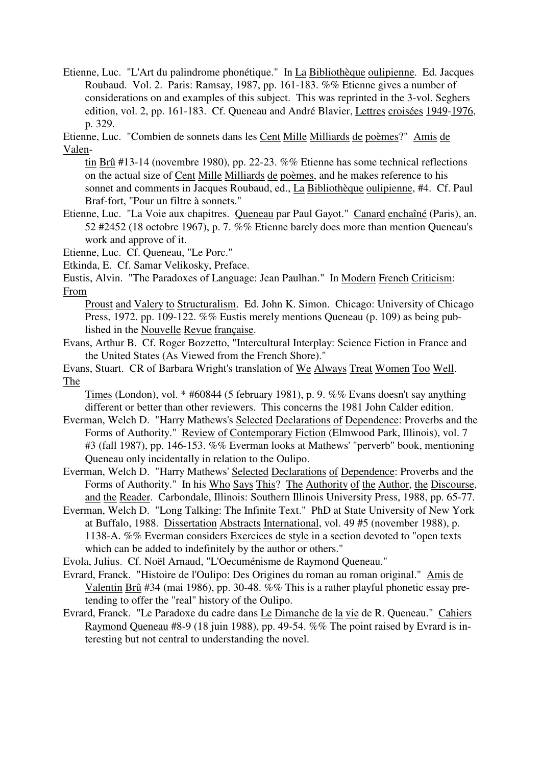Etienne, Luc. "L'Art du palindrome phonétique." In La Bibliothèque oulipienne. Ed. Jacques Roubaud. Vol. 2. Paris: Ramsay, 1987, pp. 161-183. %% Etienne gives a number of considerations on and examples of this subject. This was reprinted in the 3-vol. Seghers edition, vol. 2, pp. 161-183. Cf. Queneau and André Blavier, Lettres croisées 1949-1976, p. 329.

Etienne, Luc. "Combien de sonnets dans les Cent Mille Milliards de poèmes?" Amis de Valen-

tin Brû #13-14 (novembre 1980), pp. 22-23. %% Etienne has some technical reflections on the actual size of Cent Mille Milliards de poèmes, and he makes reference to his sonnet and comments in Jacques Roubaud, ed., La Bibliothèque oulipienne, #4. Cf. Paul Braf-fort, "Pour un filtre à sonnets."

Etienne, Luc. "La Voie aux chapitres. Queneau par Paul Gayot." Canard enchaîné (Paris), an. 52 #2452 (18 octobre 1967), p. 7. %% Etienne barely does more than mention Queneau's work and approve of it.

Etienne, Luc. Cf. Queneau, "Le Porc."

Etkinda, E. Cf. Samar Velikosky, Preface.

Eustis, Alvin. "The Paradoxes of Language: Jean Paulhan." In Modern French Criticism: From

Proust and Valery to Structuralism. Ed. John K. Simon. Chicago: University of Chicago Press, 1972. pp. 109-122. %% Eustis merely mentions Queneau (p. 109) as being published in the Nouvelle Revue française.

Evans, Arthur B. Cf. Roger Bozzetto, "Intercultural Interplay: Science Fiction in France and the United States (As Viewed from the French Shore)."

Evans, Stuart. CR of Barbara Wright's translation of We Always Treat Women Too Well. The

Times (London), vol. \* #60844 (5 february 1981), p. 9. %% Evans doesn't say anything different or better than other reviewers. This concerns the 1981 John Calder edition.

- Everman, Welch D. "Harry Mathews's Selected Declarations of Dependence: Proverbs and the Forms of Authority." Review of Contemporary Fiction (Elmwood Park, Illinois), vol. 7 #3 (fall 1987), pp. 146-153. %% Everman looks at Mathews' "perverb" book, mentioning Queneau only incidentally in relation to the Oulipo.
- Everman, Welch D. "Harry Mathews' Selected Declarations of Dependence: Proverbs and the Forms of Authority." In his Who Says This? The Authority of the Author, the Discourse, and the Reader. Carbondale, Illinois: Southern Illinois University Press, 1988, pp. 65-77.
- Everman, Welch D. "Long Talking: The Infinite Text." PhD at State University of New York at Buffalo, 1988. Dissertation Abstracts International, vol. 49 #5 (november 1988), p. 1138-A. %% Everman considers Exercices de style in a section devoted to "open texts which can be added to indefinitely by the author or others."

Evola, Julius. Cf. Noël Arnaud, "L'Oecuménisme de Raymond Queneau."

- Evrard, Franck. "Histoire de l'Oulipo: Des Origines du roman au roman original." Amis de Valentin Brû #34 (mai 1986), pp. 30-48. %% This is a rather playful phonetic essay pretending to offer the "real" history of the Oulipo.
- Evrard, Franck. "Le Paradoxe du cadre dans Le Dimanche de la vie de R. Queneau." Cahiers Raymond Queneau #8-9 (18 juin 1988), pp. 49-54. %% The point raised by Evrard is interesting but not central to understanding the novel.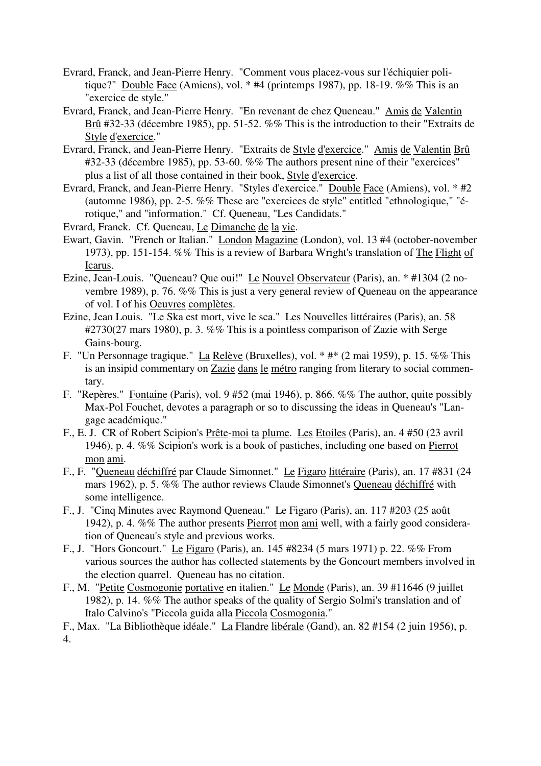- Evrard, Franck, and Jean-Pierre Henry. "Comment vous placez-vous sur l'échiquier politique?" Double Face (Amiens), vol.  $*$  #4 (printemps 1987), pp. 18-19. %% This is an "exercice de style."
- Evrard, Franck, and Jean-Pierre Henry. "En revenant de chez Queneau." Amis de Valentin Brû #32-33 (décembre 1985), pp. 51-52. %% This is the introduction to their "Extraits de Style d'exercice."
- Evrard, Franck, and Jean-Pierre Henry. "Extraits de Style d'exercice." Amis de Valentin Brû #32-33 (décembre 1985), pp. 53-60. %% The authors present nine of their "exercices" plus a list of all those contained in their book, Style d'exercice.
- Evrard, Franck, and Jean-Pierre Henry. "Styles d'exercice." Double Face (Amiens), vol. \* #2 (automne 1986), pp. 2-5. %% These are "exercices de style" entitled "ethnologique," "érotique," and "information." Cf. Queneau, "Les Candidats."
- Evrard, Franck. Cf. Queneau, Le Dimanche de la vie.
- Ewart, Gavin. "French or Italian." London Magazine (London), vol. 13 #4 (october-november 1973), pp. 151-154. %% This is a review of Barbara Wright's translation of The Flight of Icarus.
- Ezine, Jean-Louis. "Queneau? Que oui!" Le Nouvel Observateur (Paris), an. \* #1304 (2 novembre 1989), p. 76. %% This is just a very general review of Queneau on the appearance of vol. I of his Oeuvres complètes.
- Ezine, Jean Louis. "Le Ska est mort, vive le sca." Les Nouvelles littéraires (Paris), an. 58 #2730(27 mars 1980), p. 3. %% This is a pointless comparison of Zazie with Serge Gains-bourg.
- F. "Un Personnage tragique." La Relève (Bruxelles), vol. \* #\* (2 mai 1959), p. 15. %% This is an insipid commentary on Zazie dans le métro ranging from literary to social commentary.
- F. "Repères." Fontaine (Paris), vol. 9 #52 (mai 1946), p. 866. %% The author, quite possibly Max-Pol Fouchet, devotes a paragraph or so to discussing the ideas in Queneau's "Langage académique."
- F., E. J. CR of Robert Scipion's Prête-moi ta plume. Les Etoiles (Paris), an. 4 #50 (23 avril 1946), p. 4. %% Scipion's work is a book of pastiches, including one based on Pierrot mon ami.
- F., F. "Queneau déchiffré par Claude Simonnet." Le Figaro littéraire (Paris), an. 17 #831 (24 mars 1962), p. 5. %% The author reviews Claude Simonnet's Queneau déchiffré with some intelligence.
- F., J. "Cinq Minutes avec Raymond Queneau." Le Figaro (Paris), an. 117 #203 (25 août 1942), p. 4. %% The author presents Pierrot mon ami well, with a fairly good consideration of Queneau's style and previous works.
- F., J. "Hors Goncourt." Le Figaro (Paris), an. 145 #8234 (5 mars 1971) p. 22. %% From various sources the author has collected statements by the Goncourt members involved in the election quarrel. Queneau has no citation.
- F., M. "Petite Cosmogonie portative en italien." Le Monde (Paris), an. 39 #11646 (9 juillet 1982), p. 14. %% The author speaks of the quality of Sergio Solmi's translation and of Italo Calvino's "Piccola guida alla Piccola Cosmogonia."
- F., Max. "La Bibliothèque idéale." La Flandre libérale (Gand), an. 82 #154 (2 juin 1956), p. 4.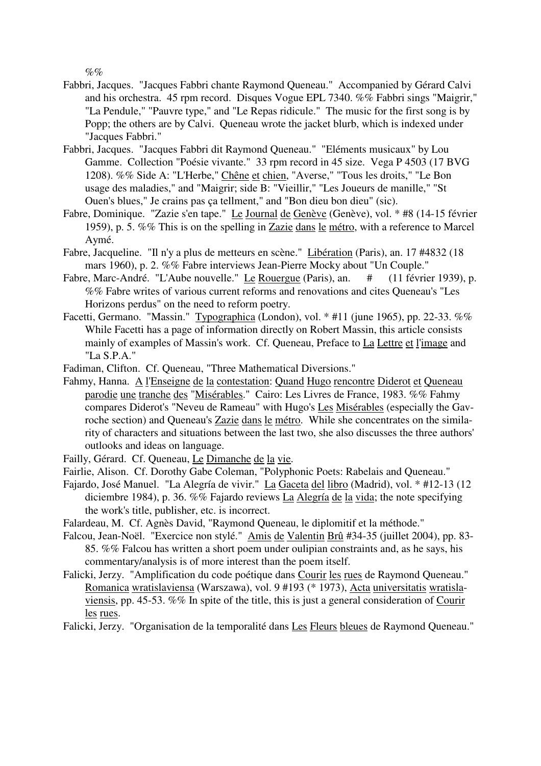$\%$ %

- Fabbri, Jacques. "Jacques Fabbri chante Raymond Queneau." Accompanied by Gérard Calvi and his orchestra. 45 rpm record. Disques Vogue EPL 7340. %% Fabbri sings "Maigrir," "La Pendule," "Pauvre type," and "Le Repas ridicule." The music for the first song is by Popp; the others are by Calvi. Queneau wrote the jacket blurb, which is indexed under "Jacques Fabbri."
- Fabbri, Jacques. "Jacques Fabbri dit Raymond Queneau." "Eléments musicaux" by Lou Gamme. Collection "Poésie vivante." 33 rpm record in 45 size. Vega P 4503 (17 BVG 1208). %% Side A: "L'Herbe," Chêne et chien, "Averse," "Tous les droits," "Le Bon usage des maladies," and "Maigrir; side B: "Vieillir," "Les Joueurs de manille," "St Ouen's blues," Je crains pas ça tellment," and "Bon dieu bon dieu" (sic).
- Fabre, Dominique. "Zazie s'en tape." Le Journal de Genève (Genève), vol. \* #8 (14-15 février 1959), p. 5. %% This is on the spelling in Zazie dans le métro, with a reference to Marcel Aymé.
- Fabre, Jacqueline. "Il n'y a plus de metteurs en scène." Libération (Paris), an. 17 #4832 (18 mars 1960), p. 2. %% Fabre interviews Jean-Pierre Mocky about "Un Couple."
- Fabre, Marc-André. "L'Aube nouvelle." Le Rouergue (Paris), an.  $\#$  (11 février 1939), p. %% Fabre writes of various current reforms and renovations and cites Queneau's "Les Horizons perdus" on the need to reform poetry.
- Facetti, Germano. "Massin." Typographica (London), vol. \* #11 (june 1965), pp. 22-33. %% While Facetti has a page of information directly on Robert Massin, this article consists mainly of examples of Massin's work. Cf. Queneau, Preface to La Lettre et l'image and "La S.P.A."

Fadiman, Clifton. Cf. Queneau, "Three Mathematical Diversions."

- Fahmy, Hanna. A l'Enseigne de la contestation: Quand Hugo rencontre Diderot et Queneau parodie une tranche des "Misérables." Cairo: Les Livres de France, 1983. %% Fahmy compares Diderot's "Neveu de Rameau" with Hugo's Les Misérables (especially the Gavroche section) and Queneau's Zazie dans le métro. While she concentrates on the similarity of characters and situations between the last two, she also discusses the three authors' outlooks and ideas on language.
- Failly, Gérard. Cf. Queneau, Le Dimanche de la vie.
- Fairlie, Alison. Cf. Dorothy Gabe Coleman, "Polyphonic Poets: Rabelais and Queneau."
- Fajardo, José Manuel. "La Alegría de vivir." La Gaceta del libro (Madrid), vol. \* #12-13 (12 diciembre 1984), p. 36. %% Fajardo reviews La Alegría de la vida; the note specifying the work's title, publisher, etc. is incorrect.
- Falardeau, M. Cf. Agnès David, "Raymond Queneau, le diplomitif et la méthode."
- Falcou, Jean-Noël. "Exercice non stylé." Amis de Valentin Brû #34-35 (juillet 2004), pp. 83- 85. %% Falcou has written a short poem under oulipian constraints and, as he says, his commentary/analysis is of more interest than the poem itself.
- Falicki, Jerzy. "Amplification du code poétique dans Courir les rues de Raymond Queneau." Romanica wratislaviensa (Warszawa), vol. 9 #193 (\* 1973), Acta universitatis wratislaviensis, pp. 45-53. %% In spite of the title, this is just a general consideration of Courir les rues.
- Falicki, Jerzy. "Organisation de la temporalité dans Les Fleurs bleues de Raymond Queneau."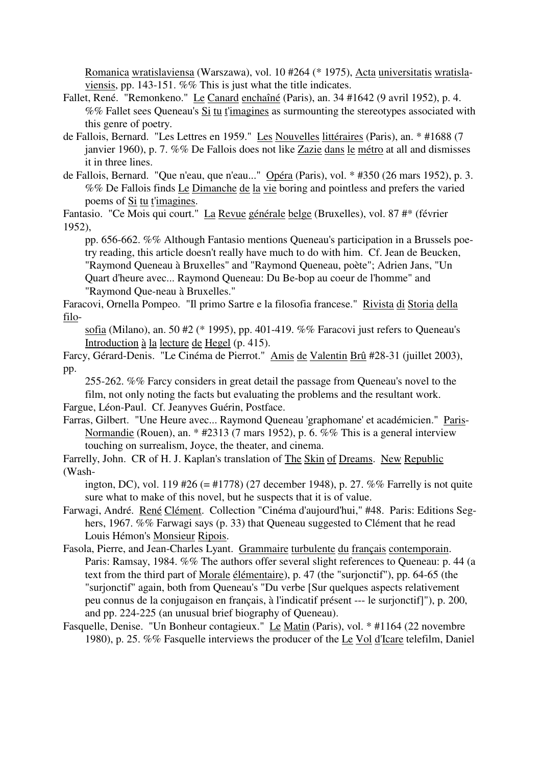Romanica wratislaviensa (Warszawa), vol. 10 #264 (\* 1975), Acta universitatis wratislaviensis, pp. 143-151. %% This is just what the title indicates.

- Fallet, René. "Remonkeno." Le Canard enchaîné (Paris), an. 34 #1642 (9 avril 1952), p. 4. %% Fallet sees Queneau's Si tu t'imagines as surmounting the stereotypes associated with this genre of poetry.
- de Fallois, Bernard. "Les Lettres en 1959." Les Nouvelles littéraires (Paris), an. \* #1688 (7 janvier 1960), p. 7. %% De Fallois does not like Zazie dans le métro at all and dismisses it in three lines.
- de Fallois, Bernard. "Que n'eau, que n'eau..." Opéra (Paris), vol. \* #350 (26 mars 1952), p. 3. %% De Fallois finds Le Dimanche de la vie boring and pointless and prefers the varied poems of Si tu t'imagines.

Fantasio. "Ce Mois qui court." La Revue générale belge (Bruxelles), vol. 87 #\* (février 1952),

pp. 656-662. %% Although Fantasio mentions Queneau's participation in a Brussels poetry reading, this article doesn't really have much to do with him. Cf. Jean de Beucken, "Raymond Queneau à Bruxelles" and "Raymond Queneau, poète"; Adrien Jans, "Un Quart d'heure avec... Raymond Queneau: Du Be-bop au coeur de l'homme" and "Raymond Que-neau à Bruxelles."

Faracovi, Ornella Pompeo. "Il primo Sartre e la filosofia francese." Rivista di Storia della filo-

sofia (Milano), an. 50 #2 (\* 1995), pp. 401-419. %% Faracovi just refers to Queneau's Introduction à la lecture de Hegel (p. 415).

Farcy, Gérard-Denis. "Le Cinéma de Pierrot." Amis de Valentin Brû #28-31 (juillet 2003), pp.

255-262. %% Farcy considers in great detail the passage from Queneau's novel to the film, not only noting the facts but evaluating the problems and the resultant work.

Fargue, Léon-Paul. Cf. Jeanyves Guérin, Postface.

Farras, Gilbert. "Une Heure avec... Raymond Queneau 'graphomane' et académicien." Paris-Normandie (Rouen), an. \* #2313 (7 mars 1952), p. 6. %% This is a general interview touching on surrealism, Joyce, the theater, and cinema.

Farrelly, John. CR of H. J. Kaplan's translation of The Skin of Dreams. New Republic (Wash-

ington, DC), vol. 119 #26 (= #1778) (27 december 1948), p. 27. %% Farrelly is not quite sure what to make of this novel, but he suspects that it is of value.

- Farwagi, André. René Clément. Collection "Cinéma d'aujourd'hui," #48. Paris: Editions Seghers, 1967. %% Farwagi says (p. 33) that Queneau suggested to Clément that he read Louis Hémon's Monsieur Ripois.
- Fasola, Pierre, and Jean-Charles Lyant. Grammaire turbulente du français contemporain. Paris: Ramsay, 1984. %% The authors offer several slight references to Queneau: p. 44 (a text from the third part of Morale élémentaire), p. 47 (the "surjonctif"), pp. 64-65 (the "surjonctif" again, both from Queneau's "Du verbe [Sur quelques aspects relativement peu connus de la conjugaison en français, à l'indicatif présent --- le surjonctif]"), p. 200, and pp. 224-225 (an unusual brief biography of Queneau).
- Fasquelle, Denise. "Un Bonheur contagieux." Le Matin (Paris), vol. \* #1164 (22 novembre 1980), p. 25. %% Fasquelle interviews the producer of the Le Vol d'Icare telefilm, Daniel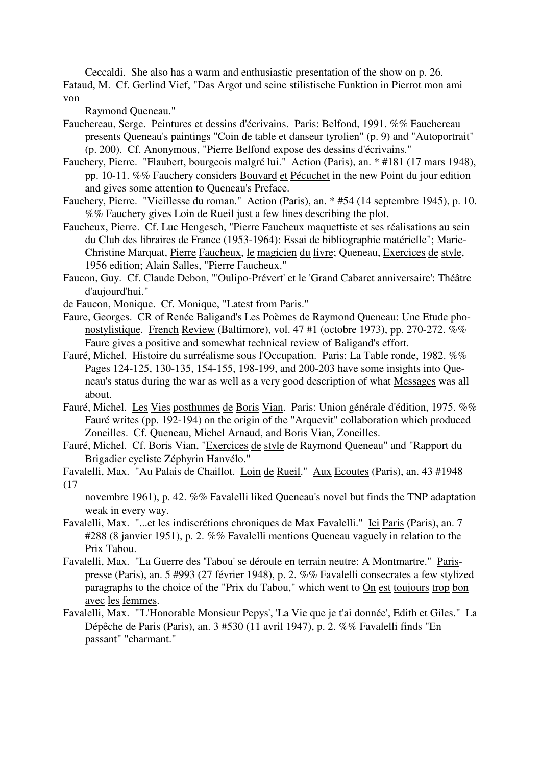Ceccaldi. She also has a warm and enthusiastic presentation of the show on p. 26. Fataud, M. Cf. Gerlind Vief, "Das Argot und seine stilistische Funktion in Pierrot mon ami von

Raymond Queneau."

- Fauchereau, Serge. Peintures et dessins d'écrivains. Paris: Belfond, 1991. %% Fauchereau presents Queneau's paintings "Coin de table et danseur tyrolien" (p. 9) and "Autoportrait" (p. 200). Cf. Anonymous, "Pierre Belfond expose des dessins d'écrivains."
- Fauchery, Pierre. "Flaubert, bourgeois malgré lui." Action (Paris), an. \* #181 (17 mars 1948), pp. 10-11. %% Fauchery considers Bouvard et Pécuchet in the new Point du jour edition and gives some attention to Queneau's Preface.
- Fauchery, Pierre. "Vieillesse du roman." Action (Paris), an. \* #54 (14 septembre 1945), p. 10. %% Fauchery gives Loin de Rueil just a few lines describing the plot.
- Faucheux, Pierre. Cf. Luc Hengesch, "Pierre Faucheux maquettiste et ses réalisations au sein du Club des libraires de France (1953-1964): Essai de bibliographie matérielle"; Marie-Christine Marquat, Pierre Faucheux, le magicien du livre; Queneau, Exercices de style, 1956 edition; Alain Salles, "Pierre Faucheux."
- Faucon, Guy. Cf. Claude Debon, "'Oulipo-Prévert' et le 'Grand Cabaret anniversaire': Théâtre d'aujourd'hui."
- de Faucon, Monique. Cf. Monique, "Latest from Paris."
- Faure, Georges. CR of Renée Baligand's Les Poèmes de Raymond Queneau: Une Etude phonostylistique. French Review (Baltimore), vol. 47 #1 (octobre 1973), pp. 270-272. %% Faure gives a positive and somewhat technical review of Baligand's effort.
- Fauré, Michel. Histoire du surréalisme sous l'Occupation. Paris: La Table ronde, 1982. %% Pages 124-125, 130-135, 154-155, 198-199, and 200-203 have some insights into Queneau's status during the war as well as a very good description of what Messages was all about.
- Fauré, Michel. Les Vies posthumes de Boris Vian. Paris: Union générale d'édition, 1975. %% Fauré writes (pp. 192-194) on the origin of the "Arquevit" collaboration which produced Zoneilles. Cf. Queneau, Michel Arnaud, and Boris Vian, Zoneilles.
- Fauré, Michel. Cf. Boris Vian, "Exercices de style de Raymond Queneau" and "Rapport du Brigadier cycliste Zéphyrin Hanvélo."
- Favalelli, Max. "Au Palais de Chaillot. Loin de Rueil." Aux Ecoutes (Paris), an. 43 #1948 (17

novembre 1961), p. 42. %% Favalelli liked Queneau's novel but finds the TNP adaptation weak in every way.

- Favalelli, Max. "...et les indiscrétions chroniques de Max Favalelli." Ici Paris (Paris), an. 7 #288 (8 janvier 1951), p. 2. %% Favalelli mentions Queneau vaguely in relation to the Prix Tabou.
- Favalelli, Max. "La Guerre des 'Tabou' se déroule en terrain neutre: A Montmartre." Parispresse (Paris), an. 5 #993 (27 février 1948), p. 2. %% Favalelli consecrates a few stylized paragraphs to the choice of the "Prix du Tabou," which went to On est toujours trop bon avec les femmes.
- Favalelli, Max. "'L'Honorable Monsieur Pepys', 'La Vie que je t'ai donnée', Edith et Giles." La Dépêche de Paris (Paris), an. 3 #530 (11 avril 1947), p. 2. %% Favalelli finds "En passant" "charmant."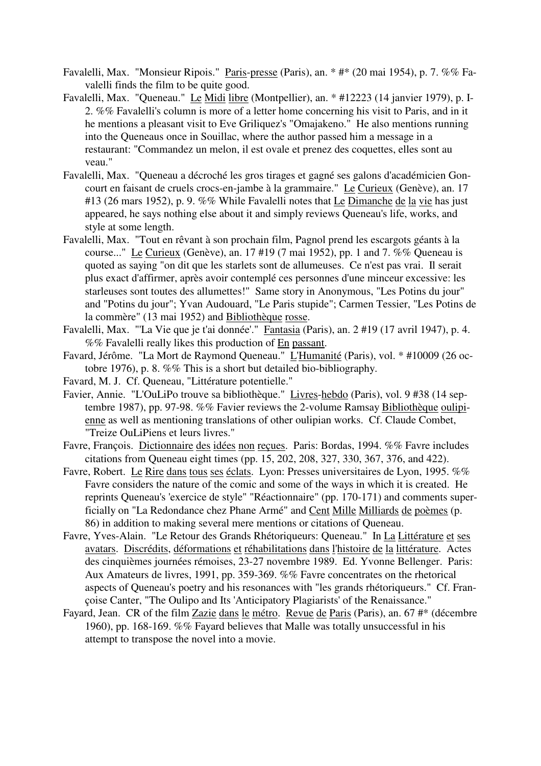- Favalelli, Max. "Monsieur Ripois." Paris-presse (Paris), an. \* #\* (20 mai 1954), p. 7. %% Favalelli finds the film to be quite good.
- Favalelli, Max. "Queneau." Le Midi libre (Montpellier), an. \* #12223 (14 janvier 1979), p. I-2. %% Favalelli's column is more of a letter home concerning his visit to Paris, and in it he mentions a pleasant visit to Eve Griliquez's "Omajakeno." He also mentions running into the Queneaus once in Souillac, where the author passed him a message in a restaurant: "Commandez un melon, il est ovale et prenez des coquettes, elles sont au veau."
- Favalelli, Max. "Queneau a décroché les gros tirages et gagné ses galons d'académicien Goncourt en faisant de cruels crocs-en-jambe à la grammaire." Le Curieux (Genève), an. 17 #13 (26 mars 1952), p. 9. %% While Favalelli notes that Le Dimanche de la vie has just appeared, he says nothing else about it and simply reviews Queneau's life, works, and style at some length.
- Favalelli, Max. "Tout en rêvant à son prochain film, Pagnol prend les escargots géants à la course..." Le Curieux (Genève), an. 17 #19 (7 mai 1952), pp. 1 and 7. %% Queneau is quoted as saying "on dit que les starlets sont de allumeuses. Ce n'est pas vrai. Il serait plus exact d'affirmer, après avoir contemplé ces personnes d'une minceur excessive: les starleuses sont toutes des allumettes!" Same story in Anonymous, "Les Potins du jour" and "Potins du jour"; Yvan Audouard, "Le Paris stupide"; Carmen Tessier, "Les Potins de la commère" (13 mai 1952) and Bibliothèque rosse.
- Favalelli, Max. "'La Vie que je t'ai donnée'." Fantasia (Paris), an. 2 #19 (17 avril 1947), p. 4. %% Favalelli really likes this production of En passant.
- Favard, Jérôme. "La Mort de Raymond Queneau." L'Humanité (Paris), vol. \* #10009 (26 octobre 1976), p. 8. %% This is a short but detailed bio-bibliography.
- Favard, M. J. Cf. Queneau, "Littérature potentielle."
- Favier, Annie. "L'OuLiPo trouve sa bibliothèque." Livres-hebdo (Paris), vol. 9 #38 (14 septembre 1987), pp. 97-98. %% Favier reviews the 2-volume Ramsay Bibliothèque oulipienne as well as mentioning translations of other oulipian works. Cf. Claude Combet, "Treize OuLiPiens et leurs livres."
- Favre, François. Dictionnaire des idées non reçues. Paris: Bordas, 1994. %% Favre includes citations from Queneau eight times (pp. 15, 202, 208, 327, 330, 367, 376, and 422).
- Favre, Robert. Le Rire dans tous ses éclats. Lyon: Presses universitaires de Lyon, 1995. %% Favre considers the nature of the comic and some of the ways in which it is created. He reprints Queneau's 'exercice de style" "Réactionnaire" (pp. 170-171) and comments superficially on "La Redondance chez Phane Armé" and Cent Mille Milliards de poèmes (p. 86) in addition to making several mere mentions or citations of Queneau.
- Favre, Yves-Alain. "Le Retour des Grands Rhétoriqueurs: Queneau." In La Littérature et ses avatars. Discrédits, déformations et réhabilitations dans l'histoire de la littérature. Actes des cinquièmes journées rémoises, 23-27 novembre 1989. Ed. Yvonne Bellenger. Paris: Aux Amateurs de livres, 1991, pp. 359-369. %% Favre concentrates on the rhetorical aspects of Queneau's poetry and his resonances with "les grands rhétoriqueurs." Cf. Françoise Canter, "The Oulipo and Its 'Anticipatory Plagiarists' of the Renaissance."
- Fayard, Jean. CR of the film Zazie dans le métro. Revue de Paris (Paris), an. 67 #\* (décembre 1960), pp. 168-169. %% Fayard believes that Malle was totally unsuccessful in his attempt to transpose the novel into a movie.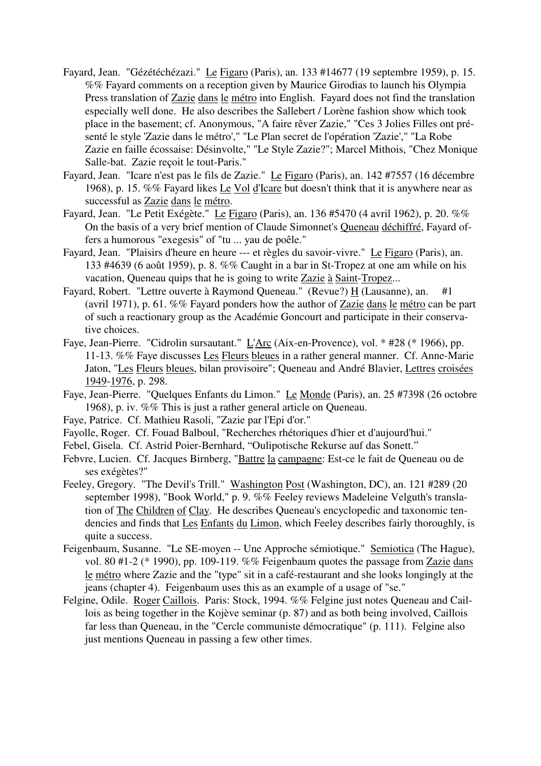- Fayard, Jean. "Gézétéchézazi." Le Figaro (Paris), an. 133 #14677 (19 septembre 1959), p. 15. %% Fayard comments on a reception given by Maurice Girodias to launch his Olympia Press translation of Zazie dans le métro into English. Fayard does not find the translation especially well done. He also describes the Sallebert / Lorène fashion show which took place in the basement; cf. Anonymous, "A faire rêver Zazie," "Ces 3 Jolies Filles ont présenté le style 'Zazie dans le métro'," "Le Plan secret de l'opération 'Zazie'," "La Robe Zazie en faille écossaise: Désinvolte," "Le Style Zazie?"; Marcel Mithois, "Chez Monique Salle-bat. Zazie reçoit le tout-Paris."
- Fayard, Jean. "Icare n'est pas le fils de Zazie." Le Figaro (Paris), an. 142 #7557 (16 décembre 1968), p. 15. %% Fayard likes Le Vol d'Icare but doesn't think that it is anywhere near as successful as Zazie dans le métro.
- Fayard, Jean. "Le Petit Exégète." Le Figaro (Paris), an. 136 #5470 (4 avril 1962), p. 20. %% On the basis of a very brief mention of Claude Simonnet's Queneau déchiffré, Fayard offers a humorous "exegesis" of "tu ... yau de poêle."
- Fayard, Jean. "Plaisirs d'heure en heure --- et règles du savoir-vivre." Le Figaro (Paris), an. 133 #4639 (6 août 1959), p. 8. %% Caught in a bar in St-Tropez at one am while on his vacation, Queneau quips that he is going to write Zazie à Saint-Tropez...
- Fayard, Robert. "Lettre ouverte à Raymond Queneau." (Revue?)  $\underline{H}$  (Lausanne), an. #1 (avril 1971), p. 61. %% Fayard ponders how the author of Zazie dans le métro can be part of such a reactionary group as the Académie Goncourt and participate in their conservative choices.
- Faye, Jean-Pierre. "Cidrolin sursautant." L'Arc (Aix-en-Provence), vol. \* #28 (\* 1966), pp. 11-13. %% Faye discusses Les Fleurs bleues in a rather general manner. Cf. Anne-Marie Jaton, "Les Fleurs bleues, bilan provisoire"; Queneau and André Blavier, Lettres croisées 1949-1976, p. 298.
- Faye, Jean-Pierre. "Quelques Enfants du Limon." Le Monde (Paris), an. 25 #7398 (26 octobre 1968), p. iv. %% This is just a rather general article on Queneau.
- Faye, Patrice. Cf. Mathieu Rasoli, "Zazie par l'Epi d'or."
- Fayolle, Roger. Cf. Fouad Balboul, "Recherches rhétoriques d'hier et d'aujourd'hui."
- Febel, Gisela. Cf. Astrid Poier-Bernhard, "Oulipotische Rekurse auf das Sonett."
- Febvre, Lucien. Cf. Jacques Birnberg, "Battre la campagne: Est-ce le fait de Queneau ou de ses exégètes?"
- Feeley, Gregory. "The Devil's Trill." Washington Post (Washington, DC), an. 121 #289 (20 september 1998), "Book World," p. 9. %% Feeley reviews Madeleine Velguth's translation of The Children of Clay. He describes Queneau's encyclopedic and taxonomic tendencies and finds that Les Enfants du Limon, which Feeley describes fairly thoroughly, is quite a success.
- Feigenbaum, Susanne. "Le SE-moyen -- Une Approche sémiotique." Semiotica (The Hague), vol. 80 #1-2 (\* 1990), pp. 109-119. %% Feigenbaum quotes the passage from Zazie dans le métro where Zazie and the "type" sit in a café-restaurant and she looks longingly at the jeans (chapter 4). Feigenbaum uses this as an example of a usage of "se."
- Felgine, Odile. Roger Caillois. Paris: Stock, 1994. %% Felgine just notes Queneau and Caillois as being together in the Kojève seminar (p. 87) and as both being involved, Caillois far less than Queneau, in the "Cercle communiste démocratique" (p. 111). Felgine also just mentions Queneau in passing a few other times.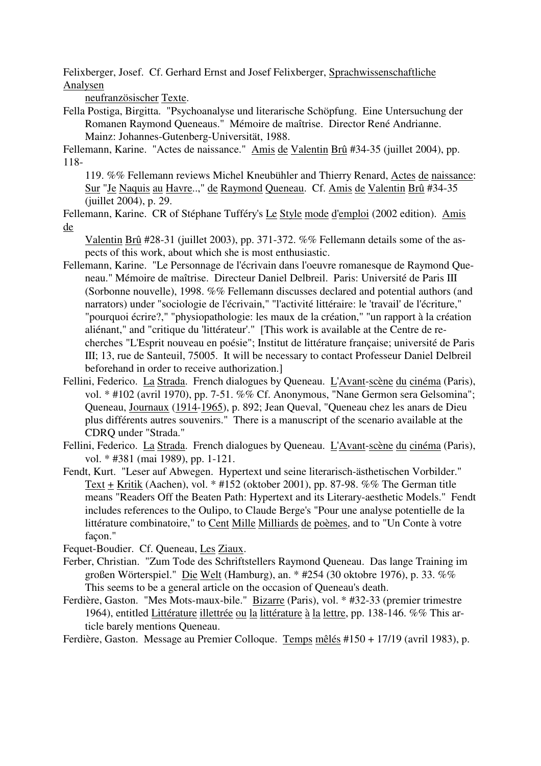Felixberger, Josef. Cf. Gerhard Ernst and Josef Felixberger, Sprachwissenschaftliche Analysen

neufranzösischer Texte.

Fella Postiga, Birgitta. "Psychoanalyse und literarische Schöpfung. Eine Untersuchung der Romanen Raymond Queneaus." Mémoire de maîtrise. Director René Andrianne. Mainz: Johannes-Gutenberg-Universität, 1988.

Fellemann, Karine. "Actes de naissance." Amis de Valentin Brû #34-35 (juillet 2004), pp. 118-

119. %% Fellemann reviews Michel Kneubühler and Thierry Renard, Actes de naissance: Sur "Je Naquis au Havre..," de Raymond Queneau. Cf. Amis de Valentin Brû #34-35 (juillet 2004), p. 29.

Fellemann, Karine. CR of Stéphane Tufféry's Le Style mode d'emploi (2002 edition). Amis de

Valentin Brû #28-31 (juillet 2003), pp. 371-372. %% Fellemann details some of the aspects of this work, about which she is most enthusiastic.

- Fellemann, Karine. "Le Personnage de l'écrivain dans l'oeuvre romanesque de Raymond Queneau." Mémoire de maîtrise. Directeur Daniel Delbreil. Paris: Université de Paris III (Sorbonne nouvelle), 1998. %% Fellemann discusses declared and potential authors (and narrators) under "sociologie de l'écrivain," "l'activité littéraire: le 'travail' de l'écriture," "pourquoi écrire?," "physiopathologie: les maux de la création," "un rapport à la création aliénant," and "critique du 'littérateur'." [This work is available at the Centre de recherches "L'Esprit nouveau en poésie"; Institut de littérature française; université de Paris III; 13, rue de Santeuil, 75005. It will be necessary to contact Professeur Daniel Delbreil beforehand in order to receive authorization.]
- Fellini, Federico. La Strada. French dialogues by Queneau. L'Avant-scène du cinéma (Paris), vol. \* #102 (avril 1970), pp. 7-51. %% Cf. Anonymous, "Nane Germon sera Gelsomina"; Queneau, Journaux (1914-1965), p. 892; Jean Queval, "Queneau chez les anars de Dieu plus différents autres souvenirs." There is a manuscript of the scenario available at the CDRQ under "Strada."
- Fellini, Federico. La Strada. French dialogues by Queneau. L'Avant-scène du cinéma (Paris), vol. \* #381 (mai 1989), pp. 1-121.
- Fendt, Kurt. "Leser auf Abwegen. Hypertext und seine literarisch-ästhetischen Vorbilder." Text + Kritik (Aachen), vol. \* #152 (oktober 2001), pp. 87-98. %% The German title means "Readers Off the Beaten Path: Hypertext and its Literary-aesthetic Models." Fendt includes references to the Oulipo, to Claude Berge's "Pour une analyse potentielle de la littérature combinatoire," to Cent Mille Milliards de poèmes, and to "Un Conte à votre facon."

Fequet-Boudier. Cf. Queneau, Les Ziaux.

- Ferber, Christian. "Zum Tode des Schriftstellers Raymond Queneau. Das lange Training im großen Wörterspiel." Die Welt (Hamburg), an. \* #254 (30 oktobre 1976), p. 33. %% This seems to be a general article on the occasion of Queneau's death.
- Ferdière, Gaston. "Mes Mots-maux-bile." Bizarre (Paris), vol. \* #32-33 (premier trimestre 1964), entitled Littérature illettrée ou la littérature à la lettre, pp. 138-146. %% This article barely mentions Queneau.
- Ferdière, Gaston. Message au Premier Colloque. Temps mêlés #150 + 17/19 (avril 1983), p.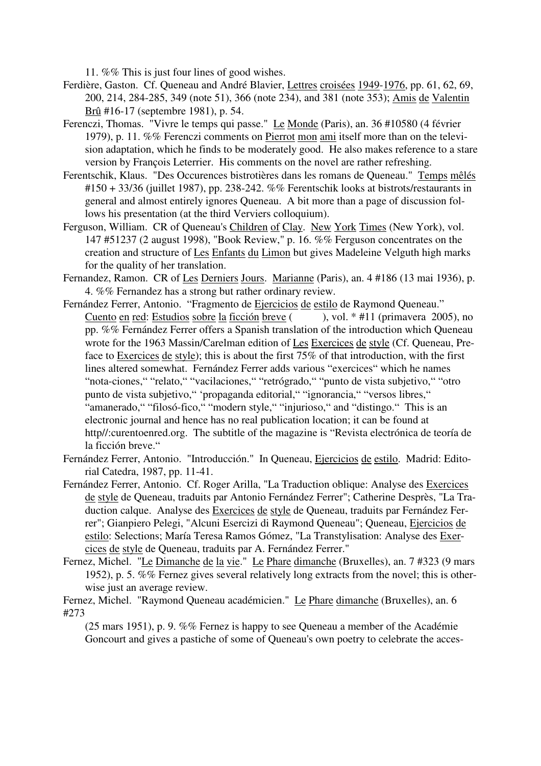11. %% This is just four lines of good wishes.

- Ferdière, Gaston. Cf. Queneau and André Blavier, Lettres croisées 1949-1976, pp. 61, 62, 69, 200, 214, 284-285, 349 (note 51), 366 (note 234), and 381 (note 353); Amis de Valentin Brû #16-17 (septembre 1981), p. 54.
- Ferenczi, Thomas. "Vivre le temps qui passe." Le Monde (Paris), an. 36 #10580 (4 février 1979), p. 11. %% Ferenczi comments on Pierrot mon ami itself more than on the television adaptation, which he finds to be moderately good. He also makes reference to a stare version by François Leterrier. His comments on the novel are rather refreshing.
- Ferentschik, Klaus. "Des Occurences bistrotières dans les romans de Queneau." Temps mêlés  $\text{\#150 + 33/36}$  (juillet 1987), pp. 238-242. %% Ferentschik looks at bistrots/restaurants in general and almost entirely ignores Queneau. A bit more than a page of discussion follows his presentation (at the third Verviers colloquium).
- Ferguson, William. CR of Queneau's Children of Clay. New York Times (New York), vol. 147 #51237 (2 august 1998), "Book Review," p. 16. %% Ferguson concentrates on the creation and structure of Les Enfants du Limon but gives Madeleine Velguth high marks for the quality of her translation.
- Fernandez, Ramon. CR of Les Derniers Jours. Marianne (Paris), an. 4 #186 (13 mai 1936), p. 4. %% Fernandez has a strong but rather ordinary review.
- Fernández Ferrer, Antonio. "Fragmento de Ejercicios de estilo de Raymond Queneau." Cuento en red: Estudios sobre la ficción breve ( ), vol. \* #11 (primavera 2005), no pp. %% Fernández Ferrer offers a Spanish translation of the introduction which Queneau wrote for the 1963 Massin/Carelman edition of Les Exercices de style (Cf. Queneau, Preface to Exercices de style); this is about the first 75% of that introduction, with the first lines altered somewhat. Fernández Ferrer adds various "exercices" which he names "nota-ciones," "relato," "vacilaciones," "retrógrado," "punto de vista subjetivo," "otro punto de vista subjetivo," 'propaganda editorial," "ignorancia," "versos libres," "amanerado," "filosó-fico," "modern style," "injurioso," and "distingo." This is an electronic journal and hence has no real publication location; it can be found at http//:curentoenred.org. The subtitle of the magazine is "Revista electrónica de teoría de la ficción breve."
- Fernández Ferrer, Antonio. "Introducción." In Queneau, Ejercicios de estilo. Madrid: Editorial Catedra, 1987, pp. 11-41.
- Fernández Ferrer, Antonio. Cf. Roger Arilla, "La Traduction oblique: Analyse des Exercices de style de Queneau, traduits par Antonio Fernández Ferrer"; Catherine Desprès, "La Traduction calque. Analyse des Exercices de style de Queneau, traduits par Fernández Ferrer"; Gianpiero Pelegi, "Alcuni Esercizi di Raymond Queneau"; Queneau, Ejercicios de estilo: Selections; María Teresa Ramos Gómez, "La Transtylisation: Analyse des Exercices de style de Queneau, traduits par A. Fernández Ferrer."
- Fernez, Michel. "Le Dimanche de la vie." Le Phare dimanche (Bruxelles), an. 7 #323 (9 mars 1952), p. 5. %% Fernez gives several relatively long extracts from the novel; this is otherwise just an average review.

Fernez, Michel. "Raymond Queneau académicien." Le Phare dimanche (Bruxelles), an. 6 #273

(25 mars 1951), p. 9. %% Fernez is happy to see Queneau a member of the Académie Goncourt and gives a pastiche of some of Queneau's own poetry to celebrate the acces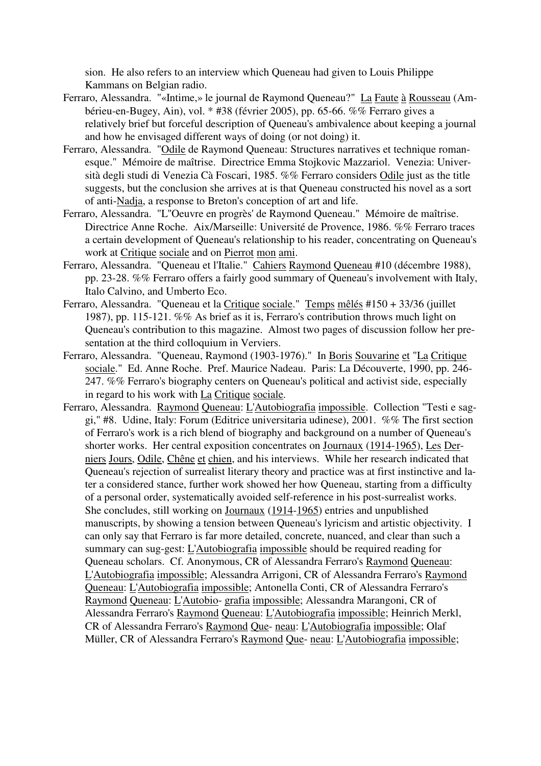sion. He also refers to an interview which Queneau had given to Louis Philippe Kammans on Belgian radio.

- Ferraro, Alessandra. "«Intime,» le journal de Raymond Queneau?" La Faute à Rousseau (Ambérieu-en-Bugey, Ain), vol. \* #38 (février 2005), pp. 65-66. %% Ferraro gives a relatively brief but forceful description of Queneau's ambivalence about keeping a journal and how he envisaged different ways of doing (or not doing) it.
- Ferraro, Alessandra. "Odile de Raymond Queneau: Structures narratives et technique romanesque." Mémoire de maîtrise. Directrice Emma Stojkovic Mazzariol. Venezia: Università degli studi di Venezia Cà Foscari, 1985. %% Ferraro considers Odile just as the title suggests, but the conclusion she arrives at is that Queneau constructed his novel as a sort of anti-Nadja, a response to Breton's conception of art and life.
- Ferraro, Alessandra. "L''Oeuvre en progrès' de Raymond Queneau." Mémoire de maîtrise. Directrice Anne Roche. Aix/Marseille: Université de Provence, 1986. %% Ferraro traces a certain development of Queneau's relationship to his reader, concentrating on Queneau's work at Critique sociale and on Pierrot mon ami.
- Ferraro, Alessandra. "Queneau et l'Italie." Cahiers Raymond Queneau #10 (décembre 1988), pp. 23-28. %% Ferraro offers a fairly good summary of Queneau's involvement with Italy, Italo Calvino, and Umberto Eco.
- Ferraro, Alessandra. "Queneau et la Critique sociale." Temps mêlés #150 + 33/36 (juillet 1987), pp. 115-121. %% As brief as it is, Ferraro's contribution throws much light on Queneau's contribution to this magazine. Almost two pages of discussion follow her presentation at the third colloquium in Verviers.
- Ferraro, Alessandra. "Queneau, Raymond (1903-1976)." In Boris Souvarine et "La Critique sociale." Ed. Anne Roche. Pref. Maurice Nadeau. Paris: La Découverte, 1990, pp. 246- 247. %% Ferraro's biography centers on Queneau's political and activist side, especially in regard to his work with La Critique sociale.
- Ferraro, Alessandra. Raymond Queneau: L'Autobiografia impossible. Collection "Testi e saggi," #8. Udine, Italy: Forum (Editrice universitaria udinese), 2001. %% The first section of Ferraro's work is a rich blend of biography and background on a number of Queneau's shorter works. Her central exposition concentrates on Journaux (1914-1965), Les Derniers Jours, Odile, Chêne et chien, and his interviews. While her research indicated that Queneau's rejection of surrealist literary theory and practice was at first instinctive and later a considered stance, further work showed her how Queneau, starting from a difficulty of a personal order, systematically avoided self-reference in his post-surrealist works. She concludes, still working on Journaux (1914-1965) entries and unpublished manuscripts, by showing a tension between Queneau's lyricism and artistic objectivity. I can only say that Ferraro is far more detailed, concrete, nuanced, and clear than such a summary can sug-gest: L'Autobiografia impossible should be required reading for Queneau scholars. Cf. Anonymous, CR of Alessandra Ferraro's Raymond Queneau: L'Autobiografia impossible; Alessandra Arrigoni, CR of Alessandra Ferraro's Raymond Queneau: L'Autobiografia impossible; Antonella Conti, CR of Alessandra Ferraro's Raymond Queneau: L'Autobio- grafia impossible; Alessandra Marangoni, CR of Alessandra Ferraro's Raymond Queneau: L'Autobiografia impossible; Heinrich Merkl, CR of Alessandra Ferraro's Raymond Que- neau: L'Autobiografia impossible; Olaf Müller, CR of Alessandra Ferraro's Raymond Que- neau: L'Autobiografia impossible;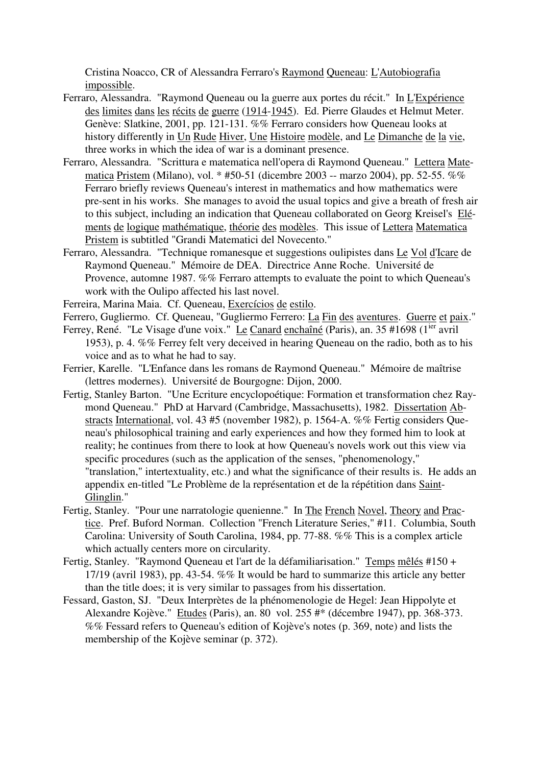Cristina Noacco, CR of Alessandra Ferraro's Raymond Queneau: L'Autobiografia impossible.

- Ferraro, Alessandra. "Raymond Queneau ou la guerre aux portes du récit." In L'Expérience des limites dans les récits de guerre (1914-1945). Ed. Pierre Glaudes et Helmut Meter. Genève: Slatkine, 2001, pp. 121-131. %% Ferraro considers how Queneau looks at history differently in Un Rude Hiver, Une Histoire modèle, and Le Dimanche de la vie, three works in which the idea of war is a dominant presence.
- Ferraro, Alessandra. "Scrittura e matematica nell'opera di Raymond Queneau." Lettera Matematica Pristem (Milano), vol. \* #50-51 (dicembre 2003 -- marzo 2004), pp. 52-55. %% Ferraro briefly reviews Queneau's interest in mathematics and how mathematics were pre-sent in his works. She manages to avoid the usual topics and give a breath of fresh air to this subject, including an indication that Queneau collaborated on Georg Kreisel's Eléments de logique mathématique, théorie des modèles. This issue of Lettera Matematica Pristem is subtitled "Grandi Matematici del Novecento."
- Ferraro, Alessandra. "Technique romanesque et suggestions oulipistes dans Le Vol d'Icare de Raymond Queneau." Mémoire de DEA. Directrice Anne Roche. Université de Provence, automne 1987. %% Ferraro attempts to evaluate the point to which Queneau's work with the Oulipo affected his last novel.
- Ferreira, Marina Maia. Cf. Queneau, Exercícios de estilo.
- Ferrero, Gugliermo. Cf. Queneau, "Gugliermo Ferrero: La Fin des aventures. Guerre et paix."
- Ferrey, René. "Le Visage d'une voix." Le Canard enchaîné (Paris), an. 35 #1698 (1<sup>ier</sup> avril 1953), p. 4. %% Ferrey felt very deceived in hearing Queneau on the radio, both as to his voice and as to what he had to say.
- Ferrier, Karelle. "L'Enfance dans les romans de Raymond Queneau." Mémoire de maîtrise (lettres modernes). Université de Bourgogne: Dijon, 2000.
- Fertig, Stanley Barton. "Une Ecriture encyclopoétique: Formation et transformation chez Raymond Queneau." PhD at Harvard (Cambridge, Massachusetts), 1982. Dissertation Abstracts International, vol. 43 #5 (november 1982), p. 1564-A. %% Fertig considers Queneau's philosophical training and early experiences and how they formed him to look at reality; he continues from there to look at how Queneau's novels work out this view via specific procedures (such as the application of the senses, "phenomenology," "translation," intertextuality, etc.) and what the significance of their results is. He adds an appendix en-titled "Le Problème de la représentation et de la répétition dans Saint-Glinglin."
- Fertig, Stanley. "Pour une narratologie quenienne." In The French Novel, Theory and Practice. Pref. Buford Norman. Collection "French Literature Series," #11. Columbia, South Carolina: University of South Carolina, 1984, pp. 77-88. %% This is a complex article which actually centers more on circularity.
- Fertig, Stanley. "Raymond Queneau et l'art de la défamiliarisation." Temps mêlés #150 + 17/19 (avril 1983), pp. 43-54. %% It would be hard to summarize this article any better than the title does; it is very similar to passages from his dissertation.
- Fessard, Gaston, SJ. "Deux Interprètes de la phénomenologie de Hegel: Jean Hippolyte et Alexandre Kojève." Etudes (Paris), an. 80 vol. 255 #\* (décembre 1947), pp. 368-373. %% Fessard refers to Queneau's edition of Kojève's notes (p. 369, note) and lists the membership of the Kojève seminar (p. 372).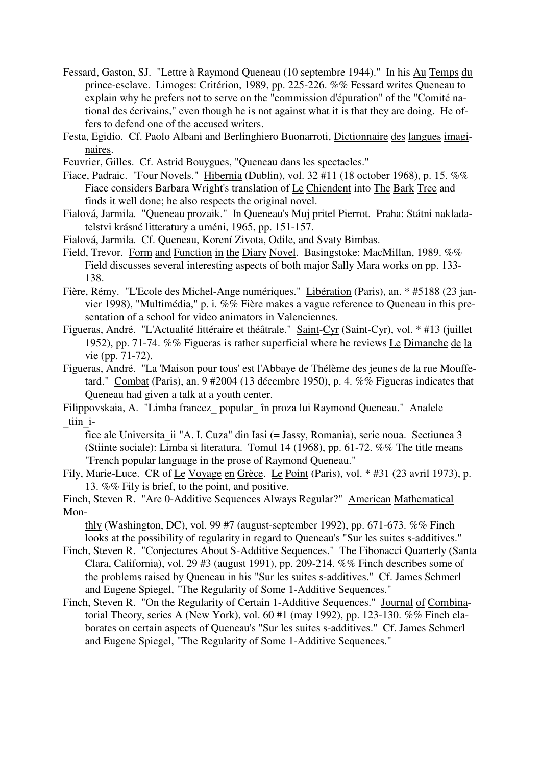- Fessard, Gaston, SJ. "Lettre à Raymond Queneau (10 septembre 1944)." In his Au Temps du prince-esclave. Limoges: Critérion, 1989, pp. 225-226. %% Fessard writes Queneau to explain why he prefers not to serve on the "commission d'épuration" of the "Comité national des écrivains," even though he is not against what it is that they are doing. He offers to defend one of the accused writers.
- Festa, Egidio. Cf. Paolo Albani and Berlinghiero Buonarroti, Dictionnaire des langues imaginaires.
- Feuvrier, Gilles. Cf. Astrid Bouygues, "Queneau dans les spectacles."
- Fiace, Padraic. "Four Novels." Hibernia (Dublin), vol. 32 #11 (18 october 1968), p. 15. %% Fiace considers Barbara Wright's translation of Le Chiendent into The Bark Tree and finds it well done; he also respects the original novel.
- Fialová, Jarmila. "Queneau prozaik." In Queneau's Muj pritel Pierrot. Praha: Státni nakladatelstvi krásné litteratury a uméni, 1965, pp. 151-157.
- Fialová, Jarmila. Cf. Queneau, Korení Zivota, Odile, and Svaty Bimbas.
- Field, Trevor. Form and Function in the Diary Novel. Basingstoke: MacMillan, 1989. %% Field discusses several interesting aspects of both major Sally Mara works on pp. 133- 138.
- Fière, Rémy. "L'Ecole des Michel-Ange numériques." Libération (Paris), an. \* #5188 (23 janvier 1998), "Multimédia," p. i. %% Fière makes a vague reference to Queneau in this presentation of a school for video animators in Valenciennes.
- Figueras, André. "L'Actualité littéraire et théâtrale." Saint-Cyr (Saint-Cyr), vol. \* #13 (juillet 1952), pp. 71-74. %% Figueras is rather superficial where he reviews Le Dimanche de la vie (pp. 71-72).
- Figueras, André. "La 'Maison pour tous' est l'Abbaye de Thélème des jeunes de la rue Mouffetard." Combat (Paris), an. 9 #2004 (13 décembre 1950), p. 4. %% Figueras indicates that Queneau had given a talk at a youth center.
- Filippovskaia, A. "Limba francez\_ popular\_ în proza lui Raymond Queneau." Analele tiin i-

fice ale Universita\_ii "A. I. Cuza" din Iasi (= Jassy, Romania), serie noua. Sectiunea 3 (Stiinte sociale): Limba si literatura. Tomul 14 (1968), pp. 61-72. %% The title means "French popular language in the prose of Raymond Queneau."

Fily, Marie-Luce. CR of Le Voyage en Grèce. Le Point (Paris), vol. \* #31 (23 avril 1973), p. 13. %% Fily is brief, to the point, and positive.

Finch, Steven R. "Are 0-Additive Sequences Always Regular?" American Mathematical Mon-

thly (Washington, DC), vol. 99 #7 (august-september 1992), pp. 671-673.  $\%$ % Finch looks at the possibility of regularity in regard to Queneau's "Sur les suites s-additives."

- Finch, Steven R. "Conjectures About S-Additive Sequences." The Fibonacci Quarterly (Santa Clara, California), vol. 29 #3 (august 1991), pp. 209-214. %% Finch describes some of the problems raised by Queneau in his "Sur les suites s-additives." Cf. James Schmerl and Eugene Spiegel, "The Regularity of Some 1-Additive Sequences."
- Finch, Steven R. "On the Regularity of Certain 1-Additive Sequences." Journal of Combinatorial Theory, series A (New York), vol. 60 #1 (may 1992), pp. 123-130. %% Finch elaborates on certain aspects of Queneau's "Sur les suites s-additives." Cf. James Schmerl and Eugene Spiegel, "The Regularity of Some 1-Additive Sequences."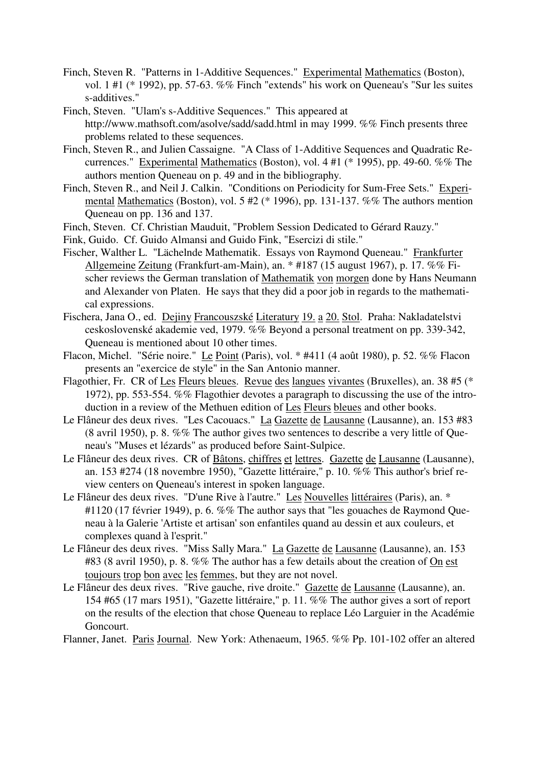- Finch, Steven R. "Patterns in 1-Additive Sequences." Experimental Mathematics (Boston), vol. 1 #1 (\* 1992), pp. 57-63. %% Finch "extends" his work on Queneau's "Sur les suites s-additives."
- Finch, Steven. "Ulam's s-Additive Sequences." This appeared at http://www.mathsoft.com/asolve/sadd/sadd.html in may 1999. %% Finch presents three problems related to these sequences.
- Finch, Steven R., and Julien Cassaigne. "A Class of 1-Additive Sequences and Quadratic Recurrences." Experimental Mathematics (Boston), vol. 4 #1 (\* 1995), pp. 49-60. %% The authors mention Queneau on p. 49 and in the bibliography.
- Finch, Steven R., and Neil J. Calkin. "Conditions on Periodicity for Sum-Free Sets." Experimental Mathematics (Boston), vol. 5 #2 (\* 1996), pp. 131-137. %% The authors mention Queneau on pp. 136 and 137.
- Finch, Steven. Cf. Christian Mauduit, "Problem Session Dedicated to Gérard Rauzy."
- Fink, Guido. Cf. Guido Almansi and Guido Fink, "Esercizi di stile."
- Fischer, Walther L. "Lächelnde Mathematik. Essays von Raymond Queneau." Frankfurter Allgemeine Zeitung (Frankfurt-am-Main), an. \* #187 (15 august 1967), p. 17. %% Fischer reviews the German translation of Mathematik von morgen done by Hans Neumann and Alexander von Platen. He says that they did a poor job in regards to the mathematical expressions.
- Fischera, Jana O., ed. Dejiny Francouszské Literatury 19. a 20. Stol. Praha: Nakladatelstvi ceskoslovenské akademie ved, 1979. %% Beyond a personal treatment on pp. 339-342, Queneau is mentioned about 10 other times.
- Flacon, Michel. "Série noire." Le Point (Paris), vol. \* #411 (4 août 1980), p. 52. %% Flacon presents an "exercice de style" in the San Antonio manner.
- Flagothier, Fr. CR of Les Fleurs bleues. Revue des langues vivantes (Bruxelles), an. 38 #5 (\* 1972), pp. 553-554. %% Flagothier devotes a paragraph to discussing the use of the introduction in a review of the Methuen edition of Les Fleurs bleues and other books.
- Le Flâneur des deux rives. "Les Cacouacs." La Gazette de Lausanne (Lausanne), an. 153 #83 (8 avril 1950), p. 8. %% The author gives two sentences to describe a very little of Queneau's "Muses et lézards" as produced before Saint-Sulpice.
- Le Flâneur des deux rives. CR of Bâtons, chiffres et lettres. Gazette de Lausanne (Lausanne), an. 153 #274 (18 novembre 1950), "Gazette littéraire," p. 10. %% This author's brief review centers on Queneau's interest in spoken language.
- Le Flâneur des deux rives. "D'une Rive à l'autre." Les Nouvelles littéraires (Paris), an. \* #1120 (17 février 1949), p. 6. %% The author says that "les gouaches de Raymond Queneau à la Galerie 'Artiste et artisan' son enfantiles quand au dessin et aux couleurs, et complexes quand à l'esprit."
- Le Flâneur des deux rives. "Miss Sally Mara." La Gazette de Lausanne (Lausanne), an. 153 #83 (8 avril 1950), p. 8. %% The author has a few details about the creation of On est toujours trop bon avec les femmes, but they are not novel.
- Le Flâneur des deux rives. "Rive gauche, rive droite." Gazette de Lausanne (Lausanne), an. 154 #65 (17 mars 1951), "Gazette littéraire," p. 11. %% The author gives a sort of report on the results of the election that chose Queneau to replace Léo Larguier in the Académie Goncourt.

Flanner, Janet. Paris Journal. New York: Athenaeum, 1965. %% Pp. 101-102 offer an altered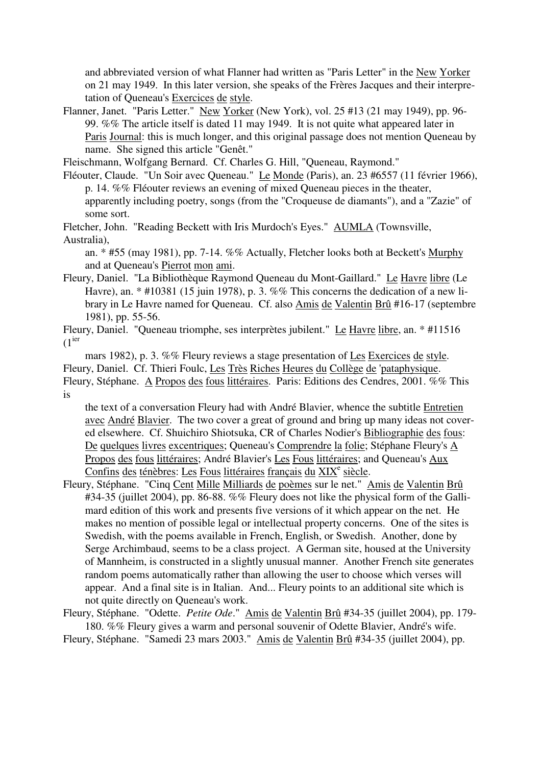and abbreviated version of what Flanner had written as "Paris Letter" in the New Yorker on 21 may 1949. In this later version, she speaks of the Frères Jacques and their interpretation of Queneau's Exercices de style.

Flanner, Janet. "Paris Letter." New Yorker (New York), vol. 25 #13 (21 may 1949), pp. 96- 99. %% The article itself is dated 11 may 1949. It is not quite what appeared later in Paris Journal: this is much longer, and this original passage does not mention Queneau by name. She signed this article "Genêt."

Fleischmann, Wolfgang Bernard. Cf. Charles G. Hill, "Queneau, Raymond."

- Fléouter, Claude. "Un Soir avec Queneau." Le Monde (Paris), an. 23 #6557 (11 février 1966), p. 14. %% Fléouter reviews an evening of mixed Queneau pieces in the theater, apparently including poetry, songs (from the "Croqueuse de diamants"), and a "Zazie" of some sort.
- Fletcher, John. "Reading Beckett with Iris Murdoch's Eyes." AUMLA (Townsville,

Australia),

an. \* #55 (may 1981), pp. 7-14. %% Actually, Fletcher looks both at Beckett's Murphy and at Queneau's Pierrot mon ami.

Fleury, Daniel. "La Bibliothèque Raymond Queneau du Mont-Gaillard." Le Havre libre (Le Havre), an. \* #10381 (15 juin 1978), p. 3. %% This concerns the dedication of a new library in Le Havre named for Queneau. Cf. also Amis de Valentin Brû #16-17 (septembre 1981), pp. 55-56.

Fleury, Daniel. "Queneau triomphe, ses interprètes jubilent." Le Havre libre, an. \* #11516  $(1<sup>ier</sup>)$ 

mars 1982), p. 3. %% Fleury reviews a stage presentation of Les Exercices de style. Fleury, Daniel. Cf. Thieri Foulc, Les Très Riches Heures du Collège de 'pataphysique. Fleury, Stéphane. A Propos des fous littéraires. Paris: Editions des Cendres, 2001. %% This is

the text of a conversation Fleury had with André Blavier, whence the subtitle Entretien avec André Blavier. The two cover a great of ground and bring up many ideas not covered elsewhere. Cf. Shuichiro Shiotsuka, CR of Charles Nodier's Bibliographie des fous: De quelques livres excentriques; Queneau's Comprendre la folie; Stéphane Fleury's A Propos des fous littéraires; André Blavier's Les Fous littéraires; and Queneau's Aux Confins des ténèbres: Les Fous littéraires français du XIX<sup>e</sup> siècle.

- Fleury, Stéphane. "Cinq Cent Mille Milliards de poèmes sur le net." Amis de Valentin Brû #34-35 (juillet 2004), pp. 86-88, %% Fleury does not like the physical form of the Gallimard edition of this work and presents five versions of it which appear on the net. He makes no mention of possible legal or intellectual property concerns. One of the sites is Swedish, with the poems available in French, English, or Swedish. Another, done by Serge Archimbaud, seems to be a class project. A German site, housed at the University of Mannheim, is constructed in a slightly unusual manner. Another French site generates random poems automatically rather than allowing the user to choose which verses will appear. And a final site is in Italian. And... Fleury points to an additional site which is not quite directly on Queneau's work.
- Fleury, Stéphane. "Odette. *Petite Ode*." Amis de Valentin Brû #34-35 (juillet 2004), pp. 179- 180. %% Fleury gives a warm and personal souvenir of Odette Blavier, André's wife.

Fleury, Stéphane. "Samedi 23 mars 2003." Amis de Valentin Brû #34-35 (juillet 2004), pp.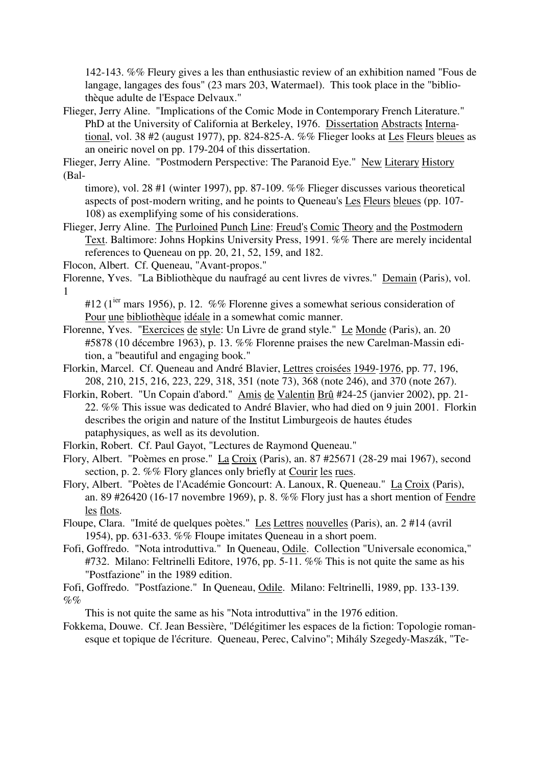142-143. %% Fleury gives a les than enthusiastic review of an exhibition named "Fous de langage, langages des fous" (23 mars 203, Watermael). This took place in the "bibliothèque adulte de l'Espace Delvaux."

Flieger, Jerry Aline. "Implications of the Comic Mode in Contemporary French Literature." PhD at the University of California at Berkeley, 1976. Dissertation Abstracts International, vol. 38 #2 (august 1977), pp. 824-825-A. %% Flieger looks at Les Fleurs bleues as an oneiric novel on pp. 179-204 of this dissertation.

Flieger, Jerry Aline. "Postmodern Perspective: The Paranoid Eye." New Literary History (Bal-

- timore), vol. 28 #1 (winter 1997), pp. 87-109. %% Flieger discusses various theoretical aspects of post-modern writing, and he points to Queneau's Les Fleurs bleues (pp. 107- 108) as exemplifying some of his considerations.
- Flieger, Jerry Aline. The Purloined Punch Line: Freud's Comic Theory and the Postmodern Text. Baltimore: Johns Hopkins University Press, 1991. %% There are merely incidental references to Queneau on pp. 20, 21, 52, 159, and 182.
- Flocon, Albert. Cf. Queneau, "Avant-propos."
- Florenne, Yves. "La Bibliothèque du naufragé au cent livres de vivres." Demain (Paris), vol. 1

#12 ( $1^{ier}$  mars 1956), p. 12. %% Florenne gives a somewhat serious consideration of Pour une bibliothèque idéale in a somewhat comic manner.

- Florenne, Yves. "Exercices de style: Un Livre de grand style." Le Monde (Paris), an. 20 #5878 (10 décembre 1963), p. 13. %% Florenne praises the new Carelman-Massin edition, a "beautiful and engaging book."
- Florkin, Marcel. Cf. Queneau and André Blavier, Lettres croisées 1949-1976, pp. 77, 196, 208, 210, 215, 216, 223, 229, 318, 351 (note 73), 368 (note 246), and 370 (note 267).
- Florkin, Robert. "Un Copain d'abord." Amis de Valentin Brû #24-25 (janvier 2002), pp. 21- 22. %% This issue was dedicated to André Blavier, who had died on 9 juin 2001. Florkin describes the origin and nature of the Institut Limburgeois de hautes études pataphysiques, as well as its devolution.
- Florkin, Robert. Cf. Paul Gayot, "Lectures de Raymond Queneau."
- Flory, Albert. "Poèmes en prose." La Croix (Paris), an. 87 #25671 (28-29 mai 1967), second section, p. 2. %% Flory glances only briefly at Courir les rues.
- Flory, Albert. "Poètes de l'Académie Goncourt: A. Lanoux, R. Queneau." La Croix (Paris), an. 89 #26420 (16-17 novembre 1969), p. 8. %% Flory just has a short mention of Fendre les flots.
- Floupe, Clara. "Imité de quelques poètes." Les Lettres nouvelles (Paris), an. 2 #14 (avril 1954), pp. 631-633. %% Floupe imitates Queneau in a short poem.
- Fofi, Goffredo. "Nota introduttiva." In Queneau, Odile. Collection "Universale economica," #732. Milano: Feltrinelli Editore, 1976, pp. 5-11. %% This is not quite the same as his "Postfazione" in the 1989 edition.
- Fofi, Goffredo. "Postfazione." In Queneau, Odile. Milano: Feltrinelli, 1989, pp. 133-139.  $\%$ %

This is not quite the same as his "Nota introduttiva" in the 1976 edition.

Fokkema, Douwe. Cf. Jean Bessière, "Délégitimer les espaces de la fiction: Topologie romanesque et topique de l'écriture. Queneau, Perec, Calvino"; Mihály Szegedy-Maszák, "Te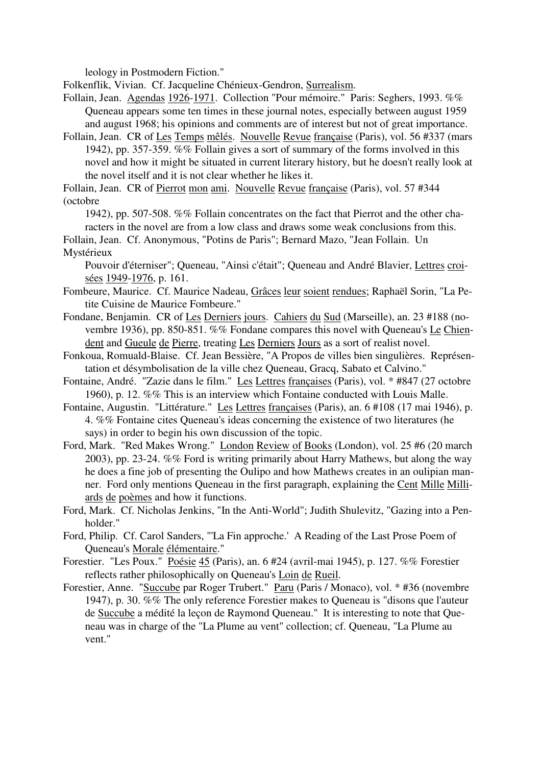leology in Postmodern Fiction."

Folkenflik, Vivian. Cf. Jacqueline Chénieux-Gendron, Surrealism.

Follain, Jean. Agendas 1926-1971. Collection "Pour mémoire." Paris: Seghers, 1993. %% Queneau appears some ten times in these journal notes, especially between august 1959 and august 1968; his opinions and comments are of interest but not of great importance.

Follain, Jean. CR of Les Temps mêlés. Nouvelle Revue française (Paris), vol. 56 #337 (mars 1942), pp. 357-359. %% Follain gives a sort of summary of the forms involved in this novel and how it might be situated in current literary history, but he doesn't really look at the novel itself and it is not clear whether he likes it.

Follain, Jean. CR of Pierrot mon ami. Nouvelle Revue française (Paris), vol. 57 #344 (octobre

1942), pp. 507-508. %% Follain concentrates on the fact that Pierrot and the other characters in the novel are from a low class and draws some weak conclusions from this.

Follain, Jean. Cf. Anonymous, "Potins de Paris"; Bernard Mazo, "Jean Follain. Un Mystérieux

Pouvoir d'éterniser"; Queneau, "Ainsi c'était"; Queneau and André Blavier, Lettres croisées 1949-1976, p. 161.

- Fombeure, Maurice. Cf. Maurice Nadeau, Grâces leur soient rendues; Raphaël Sorin, "La Petite Cuisine de Maurice Fombeure."
- Fondane, Benjamin. CR of Les Derniers jours. Cahiers du Sud (Marseille), an. 23 #188 (novembre 1936), pp. 850-851. %% Fondane compares this novel with Queneau's Le Chiendent and Gueule de Pierre, treating Les Derniers Jours as a sort of realist novel.
- Fonkoua, Romuald-Blaise. Cf. Jean Bessière, "A Propos de villes bien singulières. Représentation et désymbolisation de la ville chez Queneau, Gracq, Sabato et Calvino."
- Fontaine, André. "Zazie dans le film." Les Lettres françaises (Paris), vol. \* #847 (27 octobre 1960), p. 12. %% This is an interview which Fontaine conducted with Louis Malle.
- Fontaine, Augustin. "Littérature." Les Lettres françaises (Paris), an. 6 #108 (17 mai 1946), p. 4. %% Fontaine cites Queneau's ideas concerning the existence of two literatures (he says) in order to begin his own discussion of the topic.
- Ford, Mark. "Red Makes Wrong." London Review of Books (London), vol. 25 #6 (20 march 2003), pp. 23-24. %% Ford is writing primarily about Harry Mathews, but along the way he does a fine job of presenting the Oulipo and how Mathews creates in an oulipian manner. Ford only mentions Queneau in the first paragraph, explaining the Cent Mille Milliards de poèmes and how it functions.
- Ford, Mark. Cf. Nicholas Jenkins, "In the Anti-World"; Judith Shulevitz, "Gazing into a Penholder."
- Ford, Philip. Cf. Carol Sanders, "'La Fin approche.' A Reading of the Last Prose Poem of Queneau's Morale élémentaire."
- Forestier. "Les Poux." Poésie 45 (Paris), an. 6 #24 (avril-mai 1945), p. 127. %% Forestier reflects rather philosophically on Queneau's Loin de Rueil.
- Forestier, Anne. "Succube par Roger Trubert." Paru (Paris / Monaco), vol. \* #36 (novembre 1947), p. 30. %% The only reference Forestier makes to Queneau is "disons que l'auteur de Succube a médité la leçon de Raymond Queneau." It is interesting to note that Queneau was in charge of the "La Plume au vent" collection; cf. Queneau, "La Plume au vent."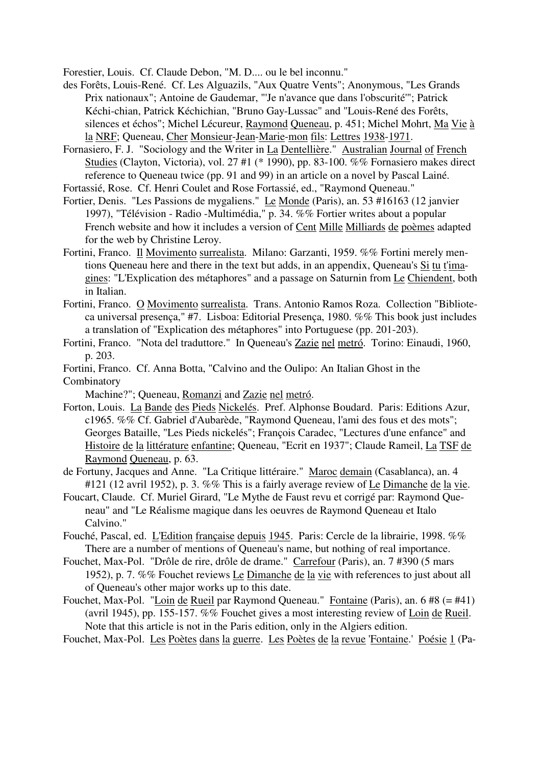Forestier, Louis. Cf. Claude Debon, "M. D.... ou le bel inconnu."

- des Forêts, Louis-René. Cf. Les Alguazils, "Aux Quatre Vents"; Anonymous, "Les Grands Prix nationaux"; Antoine de Gaudemar, "'Je n'avance que dans l'obscurité'"; Patrick Kéchi-chian, Patrick Kéchichian, "Bruno Gay-Lussac" and "Louis-René des Forêts, silences et échos"; Michel Lécureur, Raymond Queneau, p. 451; Michel Mohrt, Ma Vie à la NRF; Queneau, Cher Monsieur-Jean-Marie-mon fils: Lettres 1938-1971.
- Fornasiero, F. J. "Sociology and the Writer in La Dentellière." Australian Journal of French Studies (Clayton, Victoria), vol. 27 #1 (\* 1990), pp. 83-100. %% Fornasiero makes direct reference to Queneau twice (pp. 91 and 99) in an article on a novel by Pascal Lainé.

Fortassié, Rose. Cf. Henri Coulet and Rose Fortassié, ed., "Raymond Queneau."

- Fortier, Denis. "Les Passions de mygaliens." Le Monde (Paris), an. 53 #16163 (12 janvier 1997), "Télévision - Radio -Multimédia," p. 34. %% Fortier writes about a popular French website and how it includes a version of Cent Mille Milliards de poèmes adapted for the web by Christine Leroy.
- Fortini, Franco. Il Movimento surrealista. Milano: Garzanti, 1959. %% Fortini merely mentions Queneau here and there in the text but adds, in an appendix, Queneau's Si tu t'imagines: "L'Explication des métaphores" and a passage on Saturnin from Le Chiendent, both in Italian.
- Fortini, Franco. O Movimento surrealista. Trans. Antonio Ramos Roza. Collection "Biblioteca universal presença," #7. Lisboa: Editorial Presença, 1980. %% This book just includes a translation of "Explication des métaphores" into Portuguese (pp. 201-203).
- Fortini, Franco. "Nota del traduttore." In Queneau's Zazie nel metró. Torino: Einaudi, 1960, p. 203.
- Fortini, Franco. Cf. Anna Botta, "Calvino and the Oulipo: An Italian Ghost in the
- Combinatory

Machine?"; Queneau, Romanzi and Zazie nel metró.

- Forton, Louis. La Bande des Pieds Nickelés. Pref. Alphonse Boudard. Paris: Editions Azur, c1965. %% Cf. Gabriel d'Aubarède, "Raymond Queneau, l'ami des fous et des mots"; Georges Bataille, "Les Pieds nickelés"; François Caradec, "Lectures d'une enfance" and Histoire de la littérature enfantine; Queneau, "Ecrit en 1937"; Claude Rameil, La TSF de Raymond Queneau, p. 63.
- de Fortuny, Jacques and Anne. "La Critique littéraire." Maroc demain (Casablanca), an. 4 #121 (12 avril 1952), p. 3. %% This is a fairly average review of Le Dimanche de la vie.
- Foucart, Claude. Cf. Muriel Girard, "Le Mythe de Faust revu et corrigé par: Raymond Queneau" and "Le Réalisme magique dans les oeuvres de Raymond Queneau et Italo Calvino."
- Fouché, Pascal, ed. L'Edition française depuis 1945. Paris: Cercle de la librairie, 1998. %% There are a number of mentions of Queneau's name, but nothing of real importance.
- Fouchet, Max-Pol. "Drôle de rire, drôle de drame." Carrefour (Paris), an. 7 #390 (5 mars 1952), p. 7. %% Fouchet reviews Le Dimanche de la vie with references to just about all of Queneau's other major works up to this date.
- Fouchet, Max-Pol. "Loin de Rueil par Raymond Queneau." Fontaine (Paris), an. 6 #8 (= #41) (avril 1945), pp. 155-157. %% Fouchet gives a most interesting review of Loin de Rueil. Note that this article is not in the Paris edition, only in the Algiers edition.
- Fouchet, Max-Pol. Les Poètes dans la guerre. Les Poètes de la revue 'Fontaine.' Poésie 1 (Pa-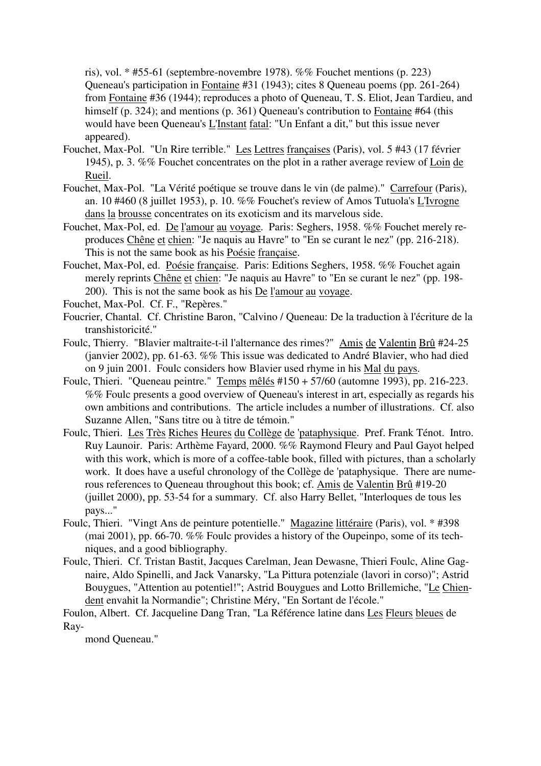ris), vol. \* #55-61 (septembre-novembre 1978). %% Fouchet mentions (p. 223) Queneau's participation in Fontaine #31 (1943); cites 8 Queneau poems (pp. 261-264) from Fontaine #36 (1944); reproduces a photo of Queneau, T. S. Eliot, Jean Tardieu, and himself (p. 324); and mentions (p. 361) Queneau's contribution to Fontaine #64 (this would have been Queneau's L'Instant fatal: "Un Enfant a dit," but this issue never appeared).

- Fouchet, Max-Pol. "Un Rire terrible." Les Lettres françaises (Paris), vol. 5 #43 (17 février 1945), p. 3. %% Fouchet concentrates on the plot in a rather average review of Loin de Rueil.
- Fouchet, Max-Pol. "La Vérité poétique se trouve dans le vin (de palme)." Carrefour (Paris), an. 10 #460 (8 juillet 1953), p. 10. %% Fouchet's review of Amos Tutuola's L'Ivrogne dans la brousse concentrates on its exoticism and its marvelous side.
- Fouchet, Max-Pol, ed. De l'amour au voyage. Paris: Seghers, 1958. %% Fouchet merely reproduces Chêne et chien: "Je naquis au Havre" to "En se curant le nez" (pp. 216-218). This is not the same book as his Poésie française.
- Fouchet, Max-Pol, ed. Poésie française. Paris: Editions Seghers, 1958. %% Fouchet again merely reprints Chêne et chien: "Je naquis au Havre" to "En se curant le nez" (pp. 198- 200). This is not the same book as his De l'amour au voyage.

Fouchet, Max-Pol. Cf. F., "Repères."

- Foucrier, Chantal. Cf. Christine Baron, "Calvino / Queneau: De la traduction à l'écriture de la transhistoricité."
- Foulc, Thierry. "Blavier maltraite-t-il l'alternance des rimes?" Amis de Valentin Brû #24-25 (janvier 2002), pp. 61-63. %% This issue was dedicated to André Blavier, who had died on 9 juin 2001. Foulc considers how Blavier used rhyme in his Mal du pays.
- Foulc, Thieri. "Queneau peintre." Temps mêlés #150 + 57/60 (automne 1993), pp. 216-223. %% Foulc presents a good overview of Queneau's interest in art, especially as regards his own ambitions and contributions. The article includes a number of illustrations. Cf. also Suzanne Allen, "Sans titre ou à titre de témoin."
- Foulc, Thieri. Les Très Riches Heures du Collège de 'pataphysique. Pref. Frank Ténot. Intro. Ruy Launoir. Paris: Arthème Fayard, 2000. %% Raymond Fleury and Paul Gayot helped with this work, which is more of a coffee-table book, filled with pictures, than a scholarly work. It does have a useful chronology of the Collège de 'pataphysique. There are numerous references to Queneau throughout this book; cf. Amis de Valentin Brû #19-20 (juillet 2000), pp. 53-54 for a summary. Cf. also Harry Bellet, "Interloques de tous les pays..."
- Foulc, Thieri. "Vingt Ans de peinture potentielle." Magazine littéraire (Paris), vol. \* #398 (mai 2001), pp. 66-70. %% Foulc provides a history of the Oupeinpo, some of its techniques, and a good bibliography.
- Foulc, Thieri. Cf. Tristan Bastit, Jacques Carelman, Jean Dewasne, Thieri Foulc, Aline Gagnaire, Aldo Spinelli, and Jack Vanarsky, "La Pittura potenziale (lavori in corso)"; Astrid Bouygues, "Attention au potentiel!"; Astrid Bouygues and Lotto Brillemiche, "Le Chiendent envahit la Normandie"; Christine Méry, "En Sortant de l'école."

Foulon, Albert. Cf. Jacqueline Dang Tran, "La Référence latine dans Les Fleurs bleues de Ray-

mond Queneau."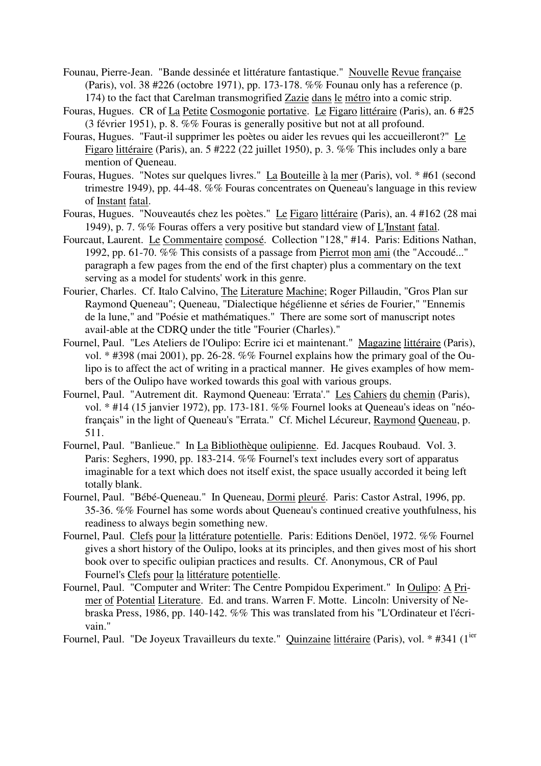- Founau, Pierre-Jean. "Bande dessinée et littérature fantastique." Nouvelle Revue française (Paris), vol. 38 #226 (octobre 1971), pp. 173-178. %% Founau only has a reference (p. 174) to the fact that Carelman transmogrified Zazie dans le métro into a comic strip.
- Fouras, Hugues. CR of La Petite Cosmogonie portative. Le Figaro littéraire (Paris), an. 6 #25 (3 février 1951), p. 8. %% Fouras is generally positive but not at all profound.
- Fouras, Hugues. "Faut-il supprimer les poètes ou aider les revues qui les accueilleront?" Le Figaro littéraire (Paris), an. 5 #222 (22 juillet 1950), p. 3. %% This includes only a bare mention of Queneau.
- Fouras, Hugues. "Notes sur quelques livres." La Bouteille à la mer (Paris), vol. \* #61 (second trimestre 1949), pp. 44-48. %% Fouras concentrates on Queneau's language in this review of Instant fatal.
- Fouras, Hugues. "Nouveautés chez les poètes." Le Figaro littéraire (Paris), an. 4 #162 (28 mai 1949), p. 7. %% Fouras offers a very positive but standard view of L'Instant fatal.
- Fourcaut, Laurent. Le Commentaire composé. Collection "128," #14. Paris: Editions Nathan, 1992, pp. 61-70. %% This consists of a passage from Pierrot mon ami (the "Accoudé..." paragraph a few pages from the end of the first chapter) plus a commentary on the text serving as a model for students' work in this genre.
- Fourier, Charles. Cf. Italo Calvino, The Literature Machine; Roger Pillaudin, "Gros Plan sur Raymond Queneau"; Queneau, "Dialectique hégélienne et séries de Fourier," "Ennemis de la lune," and "Poésie et mathématiques." There are some sort of manuscript notes avail-able at the CDRQ under the title "Fourier (Charles)."
- Fournel, Paul. "Les Ateliers de l'Oulipo: Ecrire ici et maintenant." Magazine littéraire (Paris), vol. \* #398 (mai 2001), pp. 26-28. %% Fournel explains how the primary goal of the Oulipo is to affect the act of writing in a practical manner. He gives examples of how members of the Oulipo have worked towards this goal with various groups.
- Fournel, Paul. "Autrement dit. Raymond Queneau: 'Errata'." Les Cahiers du chemin (Paris), vol. \* #14 (15 janvier 1972), pp. 173-181. %% Fournel looks at Queneau's ideas on "néofrançais" in the light of Queneau's "Errata." Cf. Michel Lécureur, Raymond Queneau, p. 511.
- Fournel, Paul. "Banlieue." In La Bibliothèque oulipienne. Ed. Jacques Roubaud. Vol. 3. Paris: Seghers, 1990, pp. 183-214. %% Fournel's text includes every sort of apparatus imaginable for a text which does not itself exist, the space usually accorded it being left totally blank.
- Fournel, Paul. "Bébé-Queneau." In Queneau, Dormi pleuré. Paris: Castor Astral, 1996, pp. 35-36. %% Fournel has some words about Queneau's continued creative youthfulness, his readiness to always begin something new.
- Fournel, Paul. Clefs pour la littérature potentielle. Paris: Editions Denöel, 1972. %% Fournel gives a short history of the Oulipo, looks at its principles, and then gives most of his short book over to specific oulipian practices and results. Cf. Anonymous, CR of Paul Fournel's Clefs pour la littérature potentielle.
- Fournel, Paul. "Computer and Writer: The Centre Pompidou Experiment." In Oulipo: A Primer of Potential Literature. Ed. and trans. Warren F. Motte. Lincoln: University of Nebraska Press, 1986, pp. 140-142. %% This was translated from his "L'Ordinateur et l'écrivain."
- Fournel, Paul. "De Joyeux Travailleurs du texte." Quinzaine littéraire (Paris), vol. \* #341 (1<sup>ier</sup>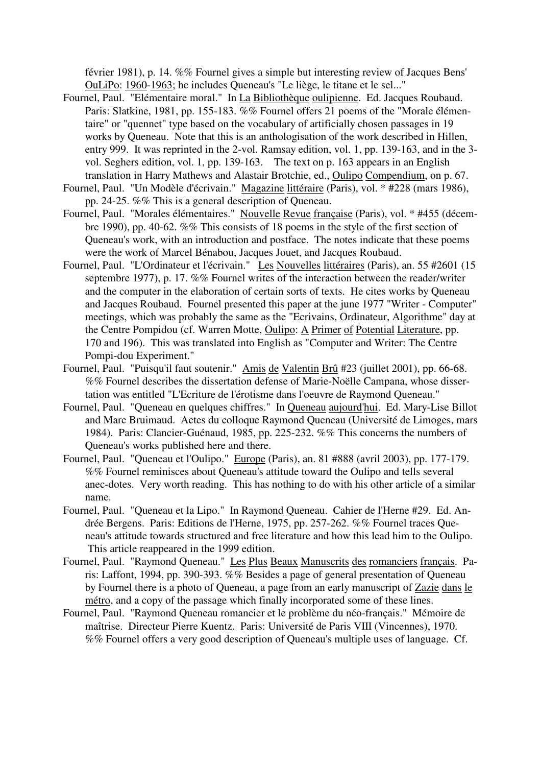février 1981), p. 14. %% Fournel gives a simple but interesting review of Jacques Bens' OuLiPo: 1960-1963; he includes Queneau's "Le liège, le titane et le sel..."

- Fournel, Paul. "Elémentaire moral." In La Bibliothèque oulipienne. Ed. Jacques Roubaud. Paris: Slatkine, 1981, pp. 155-183. %% Fournel offers 21 poems of the "Morale élémentaire" or "quennet" type based on the vocabulary of artificially chosen passages in 19 works by Queneau. Note that this is an anthologisation of the work described in Hillen, entry 999. It was reprinted in the 2-vol. Ramsay edition, vol. 1, pp. 139-163, and in the 3 vol. Seghers edition, vol. 1, pp. 139-163. The text on p. 163 appears in an English translation in Harry Mathews and Alastair Brotchie, ed., Oulipo Compendium, on p. 67.
- Fournel, Paul. "Un Modèle d'écrivain." Magazine littéraire (Paris), vol. \* #228 (mars 1986), pp. 24-25. %% This is a general description of Queneau.
- Fournel, Paul. "Morales élémentaires." Nouvelle Revue française (Paris), vol. \* #455 (décembre 1990), pp. 40-62. %% This consists of 18 poems in the style of the first section of Queneau's work, with an introduction and postface. The notes indicate that these poems were the work of Marcel Bénabou, Jacques Jouet, and Jacques Roubaud.
- Fournel, Paul. "L'Ordinateur et l'écrivain." Les Nouvelles littéraires (Paris), an. 55 #2601 (15 septembre 1977), p. 17. %% Fournel writes of the interaction between the reader/writer and the computer in the elaboration of certain sorts of texts. He cites works by Queneau and Jacques Roubaud. Fournel presented this paper at the june 1977 "Writer - Computer" meetings, which was probably the same as the "Ecrivains, Ordinateur, Algorithme" day at the Centre Pompidou (cf. Warren Motte, Oulipo: A Primer of Potential Literature, pp. 170 and 196). This was translated into English as "Computer and Writer: The Centre Pompi-dou Experiment."
- Fournel, Paul. "Puisqu'il faut soutenir." Amis de Valentin Brû #23 (juillet 2001), pp. 66-68. %% Fournel describes the dissertation defense of Marie-Noëlle Campana, whose dissertation was entitled "L'Ecriture de l'érotisme dans l'oeuvre de Raymond Queneau."
- Fournel, Paul. "Queneau en quelques chiffres." In Queneau aujourd'hui. Ed. Mary-Lise Billot and Marc Bruimaud. Actes du colloque Raymond Queneau (Université de Limoges, mars 1984). Paris: Clancier-Guénaud, 1985, pp. 225-232. %% This concerns the numbers of Queneau's works published here and there.
- Fournel, Paul. "Queneau et l'Oulipo." Europe (Paris), an. 81 #888 (avril 2003), pp. 177-179. %% Fournel reminisces about Queneau's attitude toward the Oulipo and tells several anec-dotes. Very worth reading. This has nothing to do with his other article of a similar name.
- Fournel, Paul. "Queneau et la Lipo." In Raymond Queneau. Cahier de l'Herne #29. Ed. Andrée Bergens. Paris: Editions de l'Herne, 1975, pp. 257-262. %% Fournel traces Queneau's attitude towards structured and free literature and how this lead him to the Oulipo. This article reappeared in the 1999 edition.
- Fournel, Paul. "Raymond Queneau." Les Plus Beaux Manuscrits des romanciers français. Paris: Laffont, 1994, pp. 390-393. %% Besides a page of general presentation of Queneau by Fournel there is a photo of Queneau, a page from an early manuscript of Zazie dans le métro, and a copy of the passage which finally incorporated some of these lines.
- Fournel, Paul. "Raymond Queneau romancier et le problème du néo-français." Mémoire de maîtrise. Directeur Pierre Kuentz. Paris: Université de Paris VIII (Vincennes), 1970. %% Fournel offers a very good description of Queneau's multiple uses of language. Cf.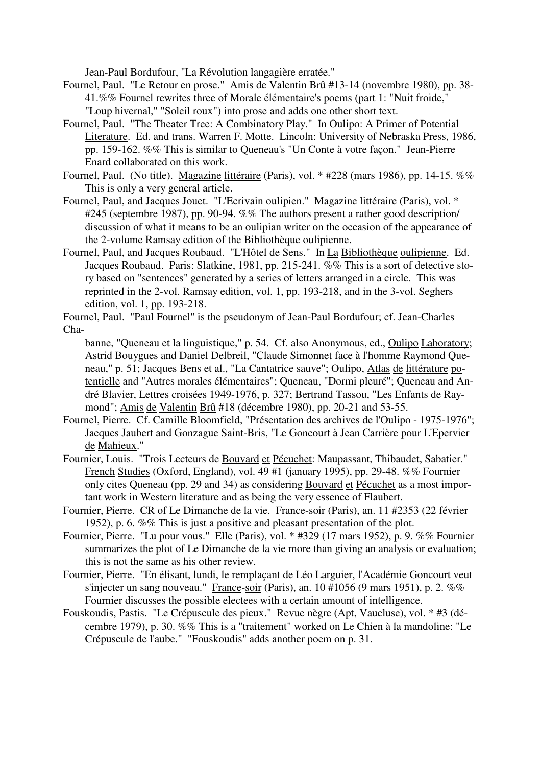Jean-Paul Bordufour, "La Révolution langagière erratée."

- Fournel, Paul. "Le Retour en prose." Amis de Valentin Brû #13-14 (novembre 1980), pp. 38- 41.%% Fournel rewrites three of Morale élémentaire's poems (part 1: "Nuit froide," "Loup hivernal," "Soleil roux") into prose and adds one other short text.
- Fournel, Paul. "The Theater Tree: A Combinatory Play." In Oulipo: A Primer of Potential Literature. Ed. and trans. Warren F. Motte. Lincoln: University of Nebraska Press, 1986, pp. 159-162. %% This is similar to Queneau's "Un Conte à votre façon." Jean-Pierre Enard collaborated on this work.
- Fournel, Paul. (No title). Magazine littéraire (Paris), vol. \* #228 (mars 1986), pp. 14-15. %% This is only a very general article.
- Fournel, Paul, and Jacques Jouet. "L'Ecrivain oulipien." Magazine littéraire (Paris), vol. \* #245 (septembre 1987), pp. 90-94. %% The authors present a rather good description/ discussion of what it means to be an oulipian writer on the occasion of the appearance of the 2-volume Ramsay edition of the Bibliothèque oulipienne.
- Fournel, Paul, and Jacques Roubaud. "L'Hôtel de Sens." In La Bibliothèque oulipienne. Ed. Jacques Roubaud. Paris: Slatkine, 1981, pp. 215-241. %% This is a sort of detective story based on "sentences" generated by a series of letters arranged in a circle. This was reprinted in the 2-vol. Ramsay edition, vol. 1, pp. 193-218, and in the 3-vol. Seghers edition, vol. 1, pp. 193-218.

- banne, "Queneau et la linguistique," p. 54. Cf. also Anonymous, ed., Oulipo Laboratory; Astrid Bouygues and Daniel Delbreil, "Claude Simonnet face à l'homme Raymond Queneau," p. 51; Jacques Bens et al., "La Cantatrice sauve"; Oulipo, Atlas de littérature potentielle and "Autres morales élémentaires"; Queneau, "Dormi pleuré"; Queneau and André Blavier, Lettres croisées 1949-1976, p. 327; Bertrand Tassou, "Les Enfants de Raymond"; Amis de Valentin Brû #18 (décembre 1980), pp. 20-21 and 53-55.
- Fournel, Pierre. Cf. Camille Bloomfield, "Présentation des archives de l'Oulipo 1975-1976"; Jacques Jaubert and Gonzague Saint-Bris, "Le Goncourt à Jean Carrière pour L'Epervier de Mahieux."
- Fournier, Louis. "Trois Lecteurs de Bouvard et Pécuchet: Maupassant, Thibaudet, Sabatier." French Studies (Oxford, England), vol. 49 #1 (january 1995), pp. 29-48. %% Fournier only cites Queneau (pp. 29 and 34) as considering Bouvard et Pécuchet as a most important work in Western literature and as being the very essence of Flaubert.
- Fournier, Pierre. CR of Le Dimanche de la vie. France-soir (Paris), an. 11 #2353 (22 février 1952), p. 6. %% This is just a positive and pleasant presentation of the plot.
- Fournier, Pierre. "Lu pour vous." Elle (Paris), vol. \* #329 (17 mars 1952), p. 9. %% Fournier summarizes the plot of Le Dimanche de la vie more than giving an analysis or evaluation; this is not the same as his other review.
- Fournier, Pierre. "En élisant, lundi, le remplaçant de Léo Larguier, l'Académie Goncourt veut s'injecter un sang nouveau." France-soir (Paris), an. 10 #1056 (9 mars 1951), p. 2. %% Fournier discusses the possible electees with a certain amount of intelligence.
- Fouskoudis, Pastis. "Le Crépuscule des pieux." Revue nègre (Apt, Vaucluse), vol. \* #3 (décembre 1979), p. 30. %% This is a "traitement" worked on Le Chien à la mandoline: "Le Crépuscule de l'aube." "Fouskoudis" adds another poem on p. 31.

Fournel, Paul. "Paul Fournel" is the pseudonym of Jean-Paul Bordufour; cf. Jean-Charles Cha-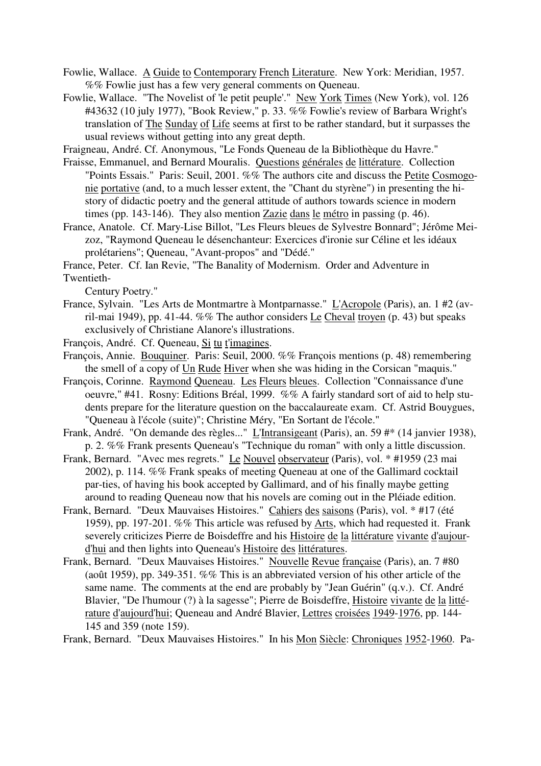- Fowlie, Wallace. A Guide to Contemporary French Literature. New York: Meridian, 1957. %% Fowlie just has a few very general comments on Queneau.
- Fowlie, Wallace. "The Novelist of 'le petit peuple'." New York Times (New York), vol. 126 #43632 (10 july 1977), "Book Review," p. 33. %% Fowlie's review of Barbara Wright's translation of The Sunday of Life seems at first to be rather standard, but it surpasses the usual reviews without getting into any great depth.

Fraigneau, André. Cf. Anonymous, "Le Fonds Queneau de la Bibliothèque du Havre."

- Fraisse, Emmanuel, and Bernard Mouralis. Questions générales de littérature. Collection "Points Essais." Paris: Seuil, 2001. %% The authors cite and discuss the Petite Cosmogonie portative (and, to a much lesser extent, the "Chant du styrène") in presenting the history of didactic poetry and the general attitude of authors towards science in modern times (pp. 143-146). They also mention Zazie dans le métro in passing (p. 46).
- France, Anatole. Cf. Mary-Lise Billot, "Les Fleurs bleues de Sylvestre Bonnard"; Jérôme Meizoz, "Raymond Queneau le désenchanteur: Exercices d'ironie sur Céline et les idéaux prolétariens"; Queneau, "Avant-propos" and "Dédé."

France, Peter. Cf. Ian Revie, "The Banality of Modernism. Order and Adventure in Twentieth-

Century Poetry."

- France, Sylvain. "Les Arts de Montmartre à Montparnasse." L'Acropole (Paris), an. 1 #2 (avril-mai 1949), pp. 41-44. %% The author considers Le Cheval troyen (p. 43) but speaks exclusively of Christiane Alanore's illustrations.
- François, André. Cf. Queneau, Si tu t'imagines.
- François, Annie. Bouquiner. Paris: Seuil, 2000. %% François mentions (p. 48) remembering the smell of a copy of Un Rude Hiver when she was hiding in the Corsican "maquis."
- François, Corinne. Raymond Queneau. Les Fleurs bleues. Collection "Connaissance d'une oeuvre," #41. Rosny: Editions Bréal, 1999. %% A fairly standard sort of aid to help students prepare for the literature question on the baccalaureate exam. Cf. Astrid Bouygues, "Queneau à l'école (suite)"; Christine Méry, "En Sortant de l'école."
- Frank, André. "On demande des règles..." L'Intransigeant (Paris), an. 59 #\* (14 janvier 1938), p. 2. %% Frank presents Queneau's "Technique du roman" with only a little discussion.
- Frank, Bernard. "Avec mes regrets." Le Nouvel observateur (Paris), vol. \* #1959 (23 mai 2002), p. 114. %% Frank speaks of meeting Queneau at one of the Gallimard cocktail par-ties, of having his book accepted by Gallimard, and of his finally maybe getting around to reading Queneau now that his novels are coming out in the Pléiade edition.
- Frank, Bernard. "Deux Mauvaises Histoires." Cahiers des saisons (Paris), vol. \* #17 (été 1959), pp. 197-201. %% This article was refused by Arts, which had requested it. Frank severely criticizes Pierre de Boisdeffre and his Histoire de la littérature vivante d'aujourd'hui and then lights into Queneau's Histoire des littératures.
- Frank, Bernard. "Deux Mauvaises Histoires." Nouvelle Revue française (Paris), an. 7 #80 (août 1959), pp. 349-351. %% This is an abbreviated version of his other article of the same name. The comments at the end are probably by "Jean Guérin" (q.v.). Cf. André Blavier, "De l'humour (?) à la sagesse"; Pierre de Boisdeffre, Histoire vivante de la littérature d'aujourd'hui; Queneau and André Blavier, Lettres croisées 1949-1976, pp. 144- 145 and 359 (note 159).

Frank, Bernard. "Deux Mauvaises Histoires." In his Mon Siècle: Chroniques 1952-1960. Pa-